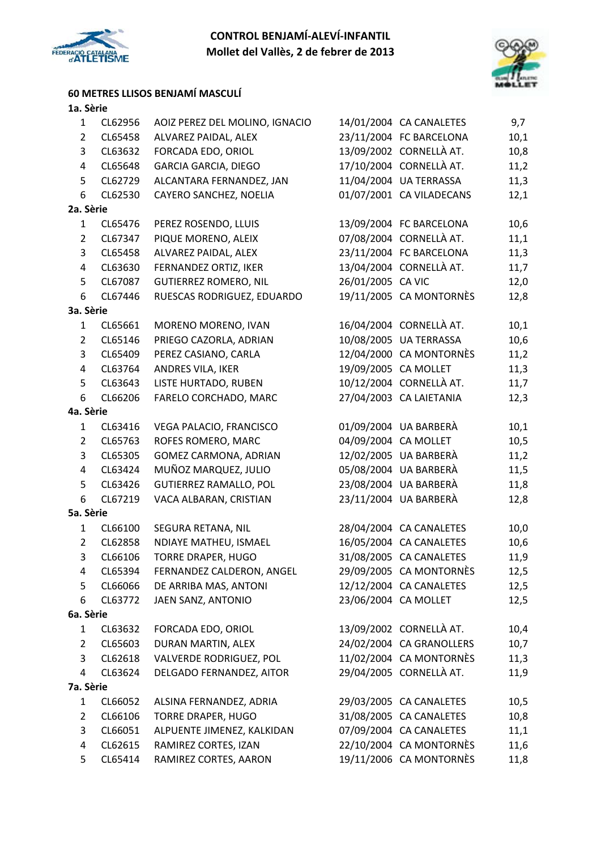



### **60 METRES LLISOS BENJAMÍ MASCULÍ**

| $\mathbf{1}$   | CL62956 | AOIZ PEREZ DEL MOLINO, IGNACIO |                   | 14/01/2004 CA CANALETES  | 9,7  |
|----------------|---------|--------------------------------|-------------------|--------------------------|------|
| $\overline{2}$ | CL65458 | ALVAREZ PAIDAL, ALEX           |                   | 23/11/2004 FC BARCELONA  | 10,1 |
| 3              | CL63632 | FORCADA EDO, ORIOL             |                   | 13/09/2002 CORNELLÀ AT.  | 10,8 |
| $\overline{4}$ | CL65648 | <b>GARCIA GARCIA, DIEGO</b>    |                   | 17/10/2004 CORNELLÀ AT.  | 11,2 |
| 5              | CL62729 | ALCANTARA FERNANDEZ, JAN       |                   | 11/04/2004 UA TERRASSA   | 11,3 |
| 6              | CL62530 | CAYERO SANCHEZ, NOELIA         |                   | 01/07/2001 CA VILADECANS | 12,1 |
| 2a. Sèrie      |         |                                |                   |                          |      |
| $\mathbf{1}$   | CL65476 | PEREZ ROSENDO, LLUIS           |                   | 13/09/2004 FC BARCELONA  | 10,6 |
| $\overline{2}$ | CL67347 | PIQUE MORENO, ALEIX            |                   | 07/08/2004 CORNELLÀ AT.  | 11,1 |
| 3              | CL65458 | ALVAREZ PAIDAL, ALEX           |                   | 23/11/2004 FC BARCELONA  | 11,3 |
| $\overline{4}$ | CL63630 | FERNANDEZ ORTIZ, IKER          |                   | 13/04/2004 CORNELLÀ AT.  | 11,7 |
| 5              | CL67087 | <b>GUTIERREZ ROMERO, NIL</b>   | 26/01/2005 CA VIC |                          | 12,0 |
| 6              | CL67446 | RUESCAS RODRIGUEZ, EDUARDO     |                   | 19/11/2005 CA MONTORNÈS  | 12,8 |
| 3a. Sèrie      |         |                                |                   |                          |      |
| $\mathbf{1}$   | CL65661 | MORENO MORENO, IVAN            |                   | 16/04/2004 CORNELLÀ AT.  | 10,1 |
| $\overline{2}$ | CL65146 | PRIEGO CAZORLA, ADRIAN         |                   | 10/08/2005 UA TERRASSA   | 10,6 |
| 3              | CL65409 | PEREZ CASIANO, CARLA           |                   | 12/04/2000 CA MONTORNÈS  | 11,2 |
| 4              | CL63764 | ANDRES VILA, IKER              |                   | 19/09/2005 CA MOLLET     | 11,3 |
| 5              | CL63643 | LISTE HURTADO, RUBEN           |                   | 10/12/2004 CORNELLÀ AT.  | 11,7 |
| 6              | CL66206 | FARELO CORCHADO, MARC          |                   | 27/04/2003 CA LAIETANIA  | 12,3 |
| 4a. Sèrie      |         |                                |                   |                          |      |
| $\mathbf{1}$   | CL63416 | VEGA PALACIO, FRANCISCO        |                   | 01/09/2004 UA BARBERÀ    | 10,1 |
| $\overline{2}$ | CL65763 | ROFES ROMERO, MARC             |                   | 04/09/2004 CA MOLLET     | 10,5 |
| 3              | CL65305 | GOMEZ CARMONA, ADRIAN          |                   | 12/02/2005 UA BARBERÀ    | 11,2 |
| 4              | CL63424 | MUÑOZ MARQUEZ, JULIO           |                   | 05/08/2004 UA BARBERÀ    | 11,5 |
| 5              | CL63426 | <b>GUTIERREZ RAMALLO, POL</b>  |                   | 23/08/2004 UA BARBERÀ    | 11,8 |
| 6              | CL67219 | VACA ALBARAN, CRISTIAN         |                   | 23/11/2004 UA BARBERÀ    | 12,8 |
| 5a. Sèrie      |         |                                |                   |                          |      |
| $\mathbf{1}$   | CL66100 | SEGURA RETANA, NIL             |                   | 28/04/2004 CA CANALETES  | 10,0 |
| $\overline{2}$ | CL62858 | NDIAYE MATHEU, ISMAEL          |                   | 16/05/2004 CA CANALETES  | 10,6 |
| 3              | CL66106 | <b>TORRE DRAPER, HUGO</b>      |                   | 31/08/2005 CA CANALETES  | 11,9 |
| 4              | CL65394 | FERNANDEZ CALDERON, ANGEL      |                   | 29/09/2005 CA MONTORNÈS  | 12,5 |
| 5              | CL66066 | DE ARRIBA MAS, ANTONI          |                   | 12/12/2004 CA CANALETES  | 12,5 |
| 6              | CL63772 | JAEN SANZ, ANTONIO             |                   | 23/06/2004 CA MOLLET     | 12,5 |
| 6a. Sèrie      |         |                                |                   |                          |      |
| $\mathbf{1}$   | CL63632 | FORCADA EDO, ORIOL             |                   | 13/09/2002 CORNELLÀ AT.  | 10,4 |
| $\overline{2}$ | CL65603 | DURAN MARTIN, ALEX             |                   | 24/02/2004 CA GRANOLLERS | 10,7 |
| 3              | CL62618 | VALVERDE RODRIGUEZ, POL        |                   | 11/02/2004 CA MONTORNÈS  | 11,3 |
| 4              | CL63624 | DELGADO FERNANDEZ, AITOR       |                   | 29/04/2005 CORNELLÀ AT.  | 11,9 |
| 7a. Sèrie      |         |                                |                   |                          |      |
| $\mathbf{1}$   | CL66052 | ALSINA FERNANDEZ, ADRIA        |                   | 29/03/2005 CA CANALETES  | 10,5 |
| $\overline{2}$ | CL66106 | <b>TORRE DRAPER, HUGO</b>      |                   | 31/08/2005 CA CANALETES  | 10,8 |
| 3              | CL66051 | ALPUENTE JIMENEZ, KALKIDAN     |                   | 07/09/2004 CA CANALETES  | 11,1 |
| $\overline{4}$ | CL62615 | RAMIREZ CORTES, IZAN           |                   | 22/10/2004 CA MONTORNÈS  | 11,6 |
| 5              | CL65414 | RAMIREZ CORTES, AARON          |                   | 19/11/2006 CA MONTORNÈS  | 11,8 |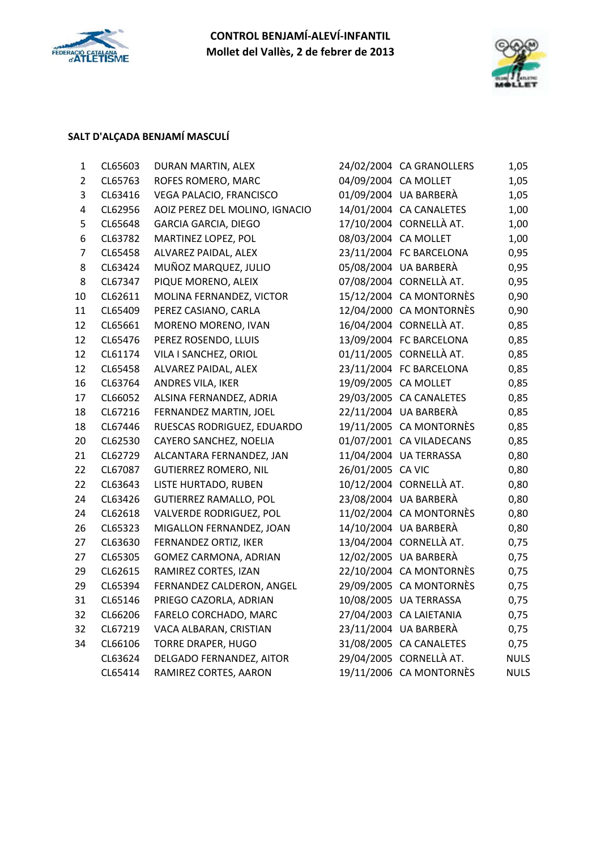



# **SALT D'ALÇADA BENJAMÍ MASCULÍ**

| $\mathbf{1}$            | CL65603 | DURAN MARTIN, ALEX             |                      | 24/02/2004 CA GRANOLLERS | 1,05        |
|-------------------------|---------|--------------------------------|----------------------|--------------------------|-------------|
| $\overline{2}$          | CL65763 | ROFES ROMERO, MARC             |                      | 04/09/2004 CA MOLLET     | 1,05        |
| 3                       | CL63416 | VEGA PALACIO, FRANCISCO        |                      | 01/09/2004 UA BARBERÀ    | 1,05        |
| $\overline{\mathbf{4}}$ | CL62956 | AOIZ PEREZ DEL MOLINO, IGNACIO |                      | 14/01/2004 CA CANALETES  | 1,00        |
| 5                       | CL65648 | <b>GARCIA GARCIA, DIEGO</b>    |                      | 17/10/2004 CORNELLÀ AT.  | 1,00        |
| 6                       | CL63782 | MARTINEZ LOPEZ, POL            | 08/03/2004 CA MOLLET |                          | 1,00        |
| $\overline{7}$          | CL65458 | ALVAREZ PAIDAL, ALEX           |                      | 23/11/2004 FC BARCELONA  | 0,95        |
| 8                       | CL63424 | MUÑOZ MARQUEZ, JULIO           |                      | 05/08/2004 UA BARBERÀ    | 0,95        |
| 8                       | CL67347 | PIQUE MORENO, ALEIX            |                      | 07/08/2004 CORNELLÀ AT.  | 0,95        |
| 10                      | CL62611 | MOLINA FERNANDEZ, VICTOR       |                      | 15/12/2004 CA MONTORNÈS  | 0,90        |
| 11                      | CL65409 | PEREZ CASIANO, CARLA           |                      | 12/04/2000 CA MONTORNÈS  | 0,90        |
| 12                      | CL65661 | MORENO MORENO, IVAN            |                      | 16/04/2004 CORNELLÀ AT.  | 0,85        |
| 12                      | CL65476 | PEREZ ROSENDO, LLUIS           |                      | 13/09/2004 FC BARCELONA  | 0,85        |
| 12                      | CL61174 | VILA I SANCHEZ, ORIOL          |                      | 01/11/2005 CORNELLÀ AT.  | 0,85        |
| 12                      | CL65458 | ALVAREZ PAIDAL, ALEX           |                      | 23/11/2004 FC BARCELONA  | 0,85        |
| 16                      | CL63764 | ANDRES VILA, IKER              |                      | 19/09/2005 CA MOLLET     | 0,85        |
| 17                      | CL66052 | ALSINA FERNANDEZ, ADRIA        |                      | 29/03/2005 CA CANALETES  | 0,85        |
| 18                      | CL67216 | FERNANDEZ MARTIN, JOEL         |                      | 22/11/2004 UA BARBERA    | 0,85        |
| 18                      | CL67446 | RUESCAS RODRIGUEZ, EDUARDO     |                      | 19/11/2005 CA MONTORNÈS  | 0,85        |
| 20                      | CL62530 | CAYERO SANCHEZ, NOELIA         |                      | 01/07/2001 CA VILADECANS | 0,85        |
| 21                      | CL62729 | ALCANTARA FERNANDEZ, JAN       |                      | 11/04/2004 UA TERRASSA   | 0,80        |
| 22                      | CL67087 | <b>GUTIERREZ ROMERO, NIL</b>   | 26/01/2005 CA VIC    |                          | 0,80        |
| 22                      | CL63643 | LISTE HURTADO, RUBEN           |                      | 10/12/2004 CORNELLÀ AT.  | 0,80        |
| 24                      | CL63426 | <b>GUTIERREZ RAMALLO, POL</b>  |                      | 23/08/2004 UA BARBERÀ    | 0,80        |
| 24                      | CL62618 | VALVERDE RODRIGUEZ, POL        |                      | 11/02/2004 CA MONTORNÈS  | 0,80        |
| 26                      | CL65323 | MIGALLON FERNANDEZ, JOAN       |                      | 14/10/2004 UA BARBERÀ    | 0,80        |
| 27                      | CL63630 | FERNANDEZ ORTIZ, IKER          |                      | 13/04/2004 CORNELLÀ AT.  | 0,75        |
| 27                      | CL65305 | GOMEZ CARMONA, ADRIAN          |                      | 12/02/2005 UA BARBERA    | 0,75        |
| 29                      | CL62615 | RAMIREZ CORTES, IZAN           |                      | 22/10/2004 CA MONTORNÈS  | 0,75        |
| 29                      | CL65394 | FERNANDEZ CALDERON, ANGEL      |                      | 29/09/2005 CA MONTORNÈS  | 0,75        |
| 31                      | CL65146 | PRIEGO CAZORLA, ADRIAN         |                      | 10/08/2005 UA TERRASSA   | 0,75        |
| 32                      | CL66206 | FARELO CORCHADO, MARC          |                      | 27/04/2003 CA LAIETANIA  | 0,75        |
| 32                      | CL67219 | VACA ALBARAN, CRISTIAN         |                      | 23/11/2004 UA BARBERÀ    | 0,75        |
| 34                      | CL66106 | <b>TORRE DRAPER, HUGO</b>      |                      | 31/08/2005 CA CANALETES  | 0,75        |
|                         | CL63624 | DELGADO FERNANDEZ, AITOR       |                      | 29/04/2005 CORNELLÀ AT.  | <b>NULS</b> |
|                         | CL65414 | RAMIREZ CORTES, AARON          |                      | 19/11/2006 CA MONTORNÈS  | <b>NULS</b> |
|                         |         |                                |                      |                          |             |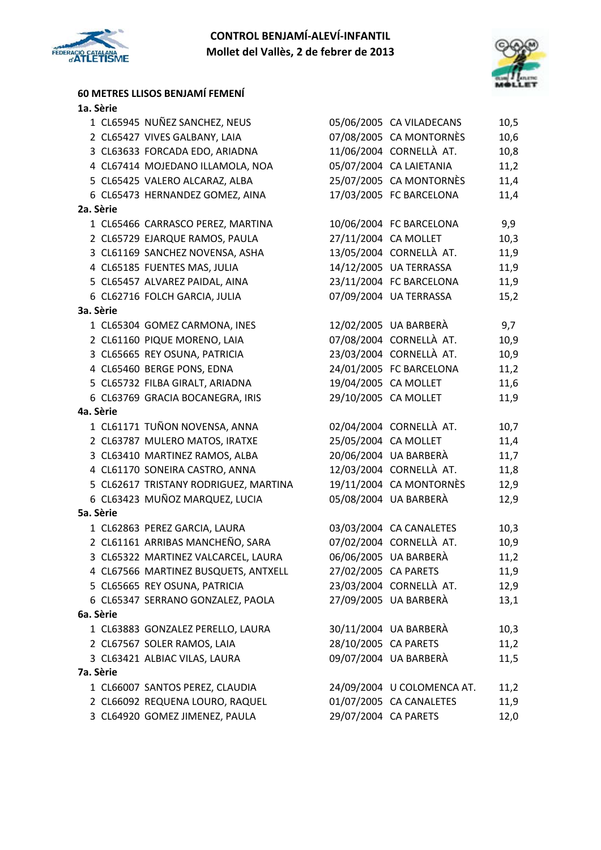

**60 METRES LLISOS BENJAMÍ FEMENÍ**



| 1a. Sèrie |                                       |                      |                            |      |
|-----------|---------------------------------------|----------------------|----------------------------|------|
|           | 1 CL65945 NUÑEZ SANCHEZ, NEUS         |                      | 05/06/2005 CA VILADECANS   | 10,5 |
|           | 2 CL65427 VIVES GALBANY, LAIA         |                      | 07/08/2005 CA MONTORNÈS    | 10,6 |
|           | 3 CL63633 FORCADA EDO, ARIADNA        |                      | 11/06/2004 CORNELLÀ AT.    | 10,8 |
|           | 4 CL67414 MOJEDANO ILLAMOLA, NOA      |                      | 05/07/2004 CA LAIETANIA    | 11,2 |
|           | 5 CL65425 VALERO ALCARAZ, ALBA        |                      | 25/07/2005 CA MONTORNÈS    | 11,4 |
|           | 6 CL65473 HERNANDEZ GOMEZ, AINA       |                      | 17/03/2005 FC BARCELONA    | 11,4 |
| 2a. Sèrie |                                       |                      |                            |      |
|           | 1 CL65466 CARRASCO PEREZ, MARTINA     |                      | 10/06/2004 FC BARCELONA    | 9,9  |
|           | 2 CL65729 EJARQUE RAMOS, PAULA        | 27/11/2004 CA MOLLET |                            | 10,3 |
|           | 3 CL61169 SANCHEZ NOVENSA, ASHA       |                      | 13/05/2004 CORNELLÀ AT.    | 11,9 |
|           | 4 CL65185 FUENTES MAS, JULIA          |                      | 14/12/2005 UA TERRASSA     | 11,9 |
|           | 5 CL65457 ALVAREZ PAIDAL, AINA        |                      | 23/11/2004 FC BARCELONA    | 11,9 |
|           | 6 CL62716 FOLCH GARCIA, JULIA         |                      | 07/09/2004 UA TERRASSA     | 15,2 |
| 3a. Sèrie |                                       |                      |                            |      |
|           | 1 CL65304 GOMEZ CARMONA, INES         |                      | 12/02/2005 UA BARBERÀ      | 9,7  |
|           | 2 CL61160 PIQUE MORENO, LAIA          |                      | 07/08/2004 CORNELLÀ AT.    | 10,9 |
|           | 3 CL65665 REY OSUNA, PATRICIA         |                      | 23/03/2004 CORNELLÀ AT.    | 10,9 |
|           | 4 CL65460 BERGE PONS, EDNA            |                      | 24/01/2005 FC BARCELONA    | 11,2 |
|           | 5 CL65732 FILBA GIRALT, ARIADNA       | 19/04/2005 CA MOLLET |                            | 11,6 |
|           | 6 CL63769 GRACIA BOCANEGRA, IRIS      | 29/10/2005 CA MOLLET |                            | 11,9 |
| 4a. Sèrie |                                       |                      |                            |      |
|           | 1 CL61171 TUÑON NOVENSA, ANNA         |                      | 02/04/2004 CORNELLÀ AT.    | 10,7 |
|           | 2 CL63787 MULERO MATOS, IRATXE        | 25/05/2004 CA MOLLET |                            | 11,4 |
|           | 3 CL63410 MARTINEZ RAMOS, ALBA        |                      | 20/06/2004 UA BARBERÀ      | 11,7 |
|           | 4 CL61170 SONEIRA CASTRO, ANNA        |                      | 12/03/2004 CORNELLÀ AT.    | 11,8 |
|           | 5 CL62617 TRISTANY RODRIGUEZ, MARTINA |                      | 19/11/2004 CA MONTORNÈS    | 12,9 |
|           | 6 CL63423 MUÑOZ MARQUEZ, LUCIA        |                      | 05/08/2004 UA BARBERÀ      | 12,9 |
| 5a. Sèrie |                                       |                      |                            |      |
|           | 1 CL62863 PEREZ GARCIA, LAURA         |                      | 03/03/2004 CA CANALETES    | 10,3 |
|           | 2 CL61161 ARRIBAS MANCHEÑO, SARA      |                      | 07/02/2004 CORNELLÀ AT.    | 10,9 |
|           | 3 CL65322 MARTINEZ VALCARCEL, LAURA   |                      | 06/06/2005 UA BARBERÀ      | 11,2 |
|           | 4 CL67566 MARTINEZ BUSQUETS, ANTXELL  | 27/02/2005 CA PARETS |                            | 11,9 |
|           | 5 CL65665 REY OSUNA, PATRICIA         |                      | 23/03/2004 CORNELLÀ AT.    | 12,9 |
|           | 6 CL65347 SERRANO GONZALEZ, PAOLA     |                      | 27/09/2005 UA BARBERÀ      | 13,1 |
| 6a. Sèrie |                                       |                      |                            |      |
|           | 1 CL63883 GONZALEZ PERELLO, LAURA     |                      | 30/11/2004 UA BARBERÀ      | 10,3 |
|           | 2 CL67567 SOLER RAMOS, LAIA           | 28/10/2005 CA PARETS |                            | 11,2 |
|           | 3 CL63421 ALBIAC VILAS, LAURA         |                      | 09/07/2004 UA BARBERÀ      | 11,5 |
| 7a. Sèrie |                                       |                      |                            |      |
|           | 1 CL66007 SANTOS PEREZ, CLAUDIA       |                      | 24/09/2004 U COLOMENCA AT. | 11,2 |
|           | 2 CL66092 REQUENA LOURO, RAQUEL       |                      | 01/07/2005 CA CANALETES    | 11,9 |

3 CL64920 GOMEZ JIMENEZ, PAULA 29/07/2004 CA PARETS 12,0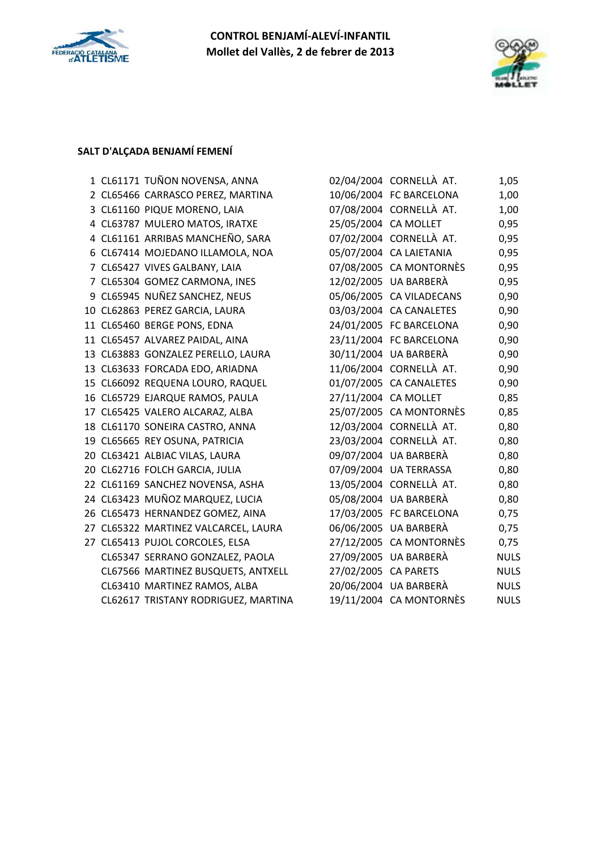



### **SALT D'ALÇADA BENJAMÍ FEMENÍ**

|  | 1 CL61171 TUÑON NOVENSA, ANNA        |                      | 02/04/2004 CORNELLÀ AT.  | 1,05        |
|--|--------------------------------------|----------------------|--------------------------|-------------|
|  | 2 CL65466 CARRASCO PEREZ, MARTINA    |                      | 10/06/2004 FC BARCELONA  | 1,00        |
|  | 3 CL61160 PIQUE MORENO, LAIA         |                      | 07/08/2004 CORNELLÀ AT.  | 1,00        |
|  | 4 CL63787 MULERO MATOS, IRATXE       | 25/05/2004 CA MOLLET |                          | 0,95        |
|  | 4 CL61161 ARRIBAS MANCHEÑO, SARA     |                      | 07/02/2004 CORNELLÀ AT.  | 0,95        |
|  | 6 CL67414 MOJEDANO ILLAMOLA, NOA     |                      | 05/07/2004 CA LAIETANIA  | 0,95        |
|  | 7 CL65427 VIVES GALBANY, LAIA        |                      | 07/08/2005 CA MONTORNÈS  | 0,95        |
|  | 7 CL65304 GOMEZ CARMONA, INES        |                      | 12/02/2005 UA BARBERÀ    | 0,95        |
|  | 9 CL65945 NUÑEZ SANCHEZ, NEUS        |                      | 05/06/2005 CA VILADECANS | 0,90        |
|  | 10 CL62863 PEREZ GARCIA, LAURA       |                      | 03/03/2004 CA CANALETES  | 0,90        |
|  | 11 CL65460 BERGE PONS, EDNA          |                      | 24/01/2005 FC BARCELONA  | 0,90        |
|  | 11 CL65457 ALVAREZ PAIDAL, AINA      |                      | 23/11/2004 FC BARCELONA  | 0,90        |
|  | 13 CL63883 GONZALEZ PERELLO, LAURA   |                      | 30/11/2004 UA BARBERÀ    | 0,90        |
|  | 13 CL63633 FORCADA EDO, ARIADNA      |                      | 11/06/2004 CORNELLÀ AT.  | 0,90        |
|  | 15 CL66092 REQUENA LOURO, RAQUEL     |                      | 01/07/2005 CA CANALETES  | 0,90        |
|  | 16 CL65729 EJARQUE RAMOS, PAULA      | 27/11/2004 CA MOLLET |                          | 0,85        |
|  | 17 CL65425 VALERO ALCARAZ, ALBA      |                      | 25/07/2005 CA MONTORNÈS  | 0,85        |
|  | 18 CL61170 SONEIRA CASTRO, ANNA      |                      | 12/03/2004 CORNELLÀ AT.  | 0,80        |
|  | 19 CL65665 REY OSUNA, PATRICIA       |                      | 23/03/2004 CORNELLÀ AT.  | 0,80        |
|  | 20 CL63421 ALBIAC VILAS, LAURA       |                      | 09/07/2004 UA BARBERÀ    | 0,80        |
|  | 20 CL62716 FOLCH GARCIA, JULIA       |                      | 07/09/2004 UA TERRASSA   | 0,80        |
|  | 22 CL61169 SANCHEZ NOVENSA, ASHA     |                      | 13/05/2004 CORNELLÀ AT.  | 0,80        |
|  | 24 CL63423 MUÑOZ MARQUEZ, LUCIA      |                      | 05/08/2004 UA BARBERÀ    | 0,80        |
|  | 26 CL65473 HERNANDEZ GOMEZ, AINA     |                      | 17/03/2005 FC BARCELONA  | 0,75        |
|  | 27 CL65322 MARTINEZ VALCARCEL, LAURA |                      | 06/06/2005 UA BARBERÀ    | 0,75        |
|  | 27 CL65413 PUJOL CORCOLES, ELSA      |                      | 27/12/2005 CA MONTORNÈS  | 0,75        |
|  | CL65347 SERRANO GONZALEZ, PAOLA      |                      | 27/09/2005 UA BARBERÀ    | <b>NULS</b> |
|  | CL67566 MARTINEZ BUSQUETS, ANTXELL   | 27/02/2005 CA PARETS |                          | <b>NULS</b> |
|  | CL63410 MARTINEZ RAMOS, ALBA         |                      | 20/06/2004 UA BARBERÀ    | <b>NULS</b> |
|  | CL62617 TRISTANY RODRIGUEZ, MARTINA  |                      | 19/11/2004 CA MONTORNÈS  | <b>NULS</b> |

| CL61171 TUÑON NOVENSA, ANNA         |                      | 02/04/2004 CORNELLÀ AT.  | 1,05        |
|-------------------------------------|----------------------|--------------------------|-------------|
| CL65466 CARRASCO PEREZ, MARTINA     |                      | 10/06/2004 FC BARCELONA  | 1,00        |
| CL61160 PIQUE MORENO, LAIA          |                      | 07/08/2004 CORNELLÀ AT.  | 1,00        |
| CL63787 MULERO MATOS, IRATXE        |                      | 25/05/2004 CA MOLLET     | 0,95        |
| CL61161 ARRIBAS MANCHEÑO, SARA      |                      | 07/02/2004 CORNELLÀ AT.  | 0,95        |
| CL67414 MOJEDANO ILLAMOLA, NOA      |                      | 05/07/2004 CA LAIETANIA  | 0,95        |
| CL65427 VIVES GALBANY, LAIA         |                      | 07/08/2005 CA MONTORNÈS  | 0,95        |
| CL65304 GOMEZ CARMONA, INES         |                      | 12/02/2005 UA BARBERÀ    | 0,95        |
| CL65945 NUÑEZ SANCHEZ, NEUS         |                      | 05/06/2005 CA VILADECANS | 0,90        |
| CL62863 PEREZ GARCIA, LAURA         |                      | 03/03/2004 CA CANALETES  | 0,90        |
| CL65460 BERGE PONS, EDNA            |                      | 24/01/2005 FC BARCELONA  | 0,90        |
| CL65457 ALVAREZ PAIDAL, AINA        |                      | 23/11/2004 FC BARCELONA  | 0,90        |
| CL63883 GONZALEZ PERELLO, LAURA     |                      | 30/11/2004 UA BARBERÀ    | 0,90        |
| CL63633 FORCADA EDO, ARIADNA        |                      | 11/06/2004 CORNELLÀ AT.  | 0,90        |
| CL66092 REQUENA LOURO, RAQUEL       |                      | 01/07/2005 CA CANALETES  | 0,90        |
| CL65729 EJARQUE RAMOS, PAULA        | 27/11/2004 CA MOLLET |                          | 0,85        |
| CL65425 VALERO ALCARAZ, ALBA        |                      | 25/07/2005 CA MONTORNÈS  | 0,85        |
| CL61170 SONEIRA CASTRO, ANNA        |                      | 12/03/2004 CORNELLÀ AT.  | 0,80        |
| CL65665 REY OSUNA, PATRICIA         |                      | 23/03/2004 CORNELLÀ AT.  | 0,80        |
| CL63421 ALBIAC VILAS, LAURA         |                      | 09/07/2004 UA BARBERÀ    | 0,80        |
| CL62716 FOLCH GARCIA, JULIA         |                      | 07/09/2004 UA TERRASSA   | 0,80        |
| CL61169 SANCHEZ NOVENSA, ASHA       |                      | 13/05/2004 CORNELLÀ AT.  | 0,80        |
| CL63423 MUÑOZ MARQUEZ, LUCIA        |                      | 05/08/2004 UA BARBERÀ    | 0,80        |
| CL65473 HERNANDEZ GOMEZ, AINA       |                      | 17/03/2005 FC BARCELONA  | 0,75        |
| CL65322 MARTINEZ VALCARCEL, LAURA   |                      | 06/06/2005 UA BARBERÀ    | 0,75        |
| CL65413 PUJOL CORCOLES, ELSA        |                      | 27/12/2005 CA MONTORNÈS  | 0,75        |
| CL65347 SERRANO GONZALEZ, PAOLA     |                      | 27/09/2005 UA BARBERÀ    | <b>NULS</b> |
| CL67566 MARTINEZ BUSQUETS, ANTXELL  | 27/02/2005 CA PARETS |                          | <b>NULS</b> |
| CL63410 MARTINEZ RAMOS, ALBA        |                      | 20/06/2004 UA BARBERÀ    | <b>NULS</b> |
| CL62617 TRISTANY RODRIGUEZ, MARTINA |                      | 19/11/2004 CA MONTORNÈS  | <b>NULS</b> |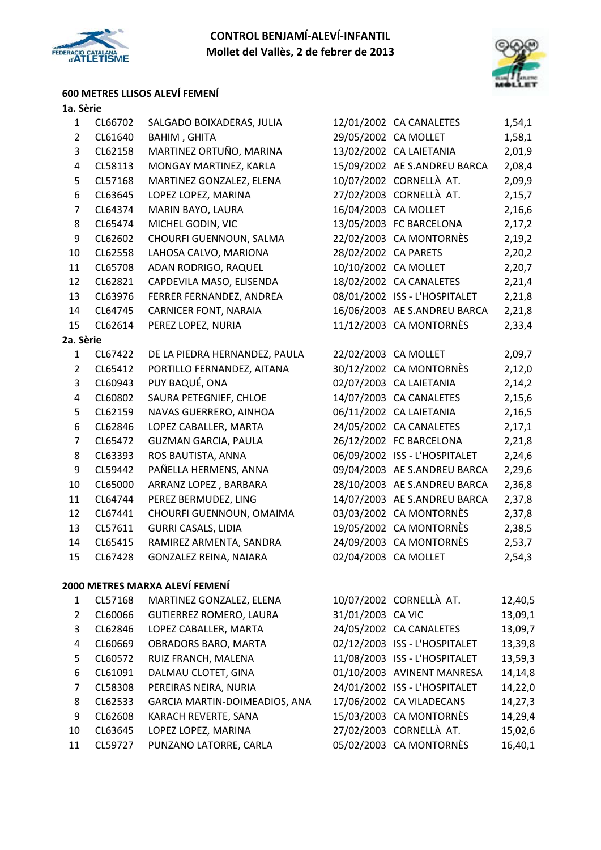



# **600 METRES LLISOS ALEVÍ FEMENÍ**

| $\mathbf{1}$   | CL66702 | SALGADO BOIXADERAS, JULIA      |                      | 12/01/2002 CA CANALETES       | 1,54,1 |
|----------------|---------|--------------------------------|----------------------|-------------------------------|--------|
| $\overline{2}$ | CL61640 | BAHIM, GHITA                   |                      | 29/05/2002 CA MOLLET          | 1,58,1 |
| 3              | CL62158 | MARTINEZ ORTUÑO, MARINA        |                      | 13/02/2002 CA LAIETANIA       | 2,01,9 |
| 4              | CL58113 | MONGAY MARTINEZ, KARLA         |                      | 15/09/2002 AE S.ANDREU BARCA  | 2,08,4 |
| 5              | CL57168 | MARTINEZ GONZALEZ, ELENA       |                      | 10/07/2002 CORNELLÀ AT.       | 2,09,9 |
| 6              | CL63645 | LOPEZ LOPEZ, MARINA            |                      | 27/02/2003 CORNELLÀ AT.       | 2,15,7 |
| $\overline{7}$ | CL64374 | MARIN BAYO, LAURA              |                      | 16/04/2003 CA MOLLET          | 2,16,6 |
| 8              | CL65474 | MICHEL GODIN, VIC              |                      | 13/05/2003 FC BARCELONA       | 2,17,2 |
| 9              | CL62602 | CHOURFI GUENNOUN, SALMA        |                      | 22/02/2003 CA MONTORNÈS       | 2,19,2 |
| 10             | CL62558 | LAHOSA CALVO, MARIONA          | 28/02/2002 CA PARETS |                               | 2,20,2 |
| 11             | CL65708 | ADAN RODRIGO, RAQUEL           |                      | 10/10/2002 CA MOLLET          | 2,20,7 |
| 12             | CL62821 | CAPDEVILA MASO, ELISENDA       |                      | 18/02/2002 CA CANALETES       | 2,21,4 |
| 13             | CL63976 | FERRER FERNANDEZ, ANDREA       |                      | 08/01/2002 ISS - L'HOSPITALET | 2,21,8 |
| 14             | CL64745 | <b>CARNICER FONT, NARAIA</b>   |                      | 16/06/2003 AE S.ANDREU BARCA  | 2,21,8 |
| 15             | CL62614 | PEREZ LOPEZ, NURIA             |                      | 11/12/2003 CA MONTORNÈS       | 2,33,4 |
| 2a. Sèrie      |         |                                |                      |                               |        |
| $\mathbf{1}$   | CL67422 | DE LA PIEDRA HERNANDEZ, PAULA  |                      | 22/02/2003 CA MOLLET          | 2,09,7 |
| $\overline{2}$ | CL65412 | PORTILLO FERNANDEZ, AITANA     |                      | 30/12/2002 CA MONTORNÈS       | 2,12,0 |
| 3              | CL60943 | PUY BAQUÉ, ONA                 |                      | 02/07/2003 CA LAIETANIA       | 2,14,2 |
| 4              | CL60802 | SAURA PETEGNIEF, CHLOE         |                      | 14/07/2003 CA CANALETES       | 2,15,6 |
| 5              | CL62159 | NAVAS GUERRERO, AINHOA         |                      | 06/11/2002 CA LAIETANIA       | 2,16,5 |
| 6              | CL62846 | LOPEZ CABALLER, MARTA          |                      | 24/05/2002 CA CANALETES       | 2,17,1 |
| $\overline{7}$ | CL65472 | <b>GUZMAN GARCIA, PAULA</b>    |                      | 26/12/2002 FC BARCELONA       | 2,21,8 |
| 8              | CL63393 | ROS BAUTISTA, ANNA             |                      | 06/09/2002 ISS - L'HOSPITALET | 2,24,6 |
| 9              | CL59442 | PAÑELLA HERMENS, ANNA          |                      | 09/04/2003 AE S.ANDREU BARCA  | 2,29,6 |
| 10             | CL65000 | ARRANZ LOPEZ, BARBARA          |                      | 28/10/2003 AE S.ANDREU BARCA  | 2,36,8 |
| 11             | CL64744 | PEREZ BERMUDEZ, LING           |                      | 14/07/2003 AE S.ANDREU BARCA  | 2,37,8 |
| 12             | CL67441 | CHOURFI GUENNOUN, OMAIMA       |                      | 03/03/2002 CA MONTORNÈS       | 2,37,8 |
| 13             | CL57611 | <b>GURRI CASALS, LIDIA</b>     |                      | 19/05/2002 CA MONTORNÈS       | 2,38,5 |
| 14             | CL65415 | RAMIREZ ARMENTA, SANDRA        |                      | 24/09/2003 CA MONTORNÈS       | 2,53,7 |
| 15             | CL67428 | GONZALEZ REINA, NAIARA         |                      | 02/04/2003 CA MOLLET          | 2,54,3 |
|                |         |                                |                      |                               |        |
|                |         | 2000 METRES MARXA ALEVÍ FEMENÍ |                      |                               |        |

|    | CL57168 | MARTINEZ GONZALEZ, ELENA       |                   | 10/07/2002 CORNELLÀ AT.       | 12,40,5 |
|----|---------|--------------------------------|-------------------|-------------------------------|---------|
| 2  | CL60066 | <b>GUTIERREZ ROMERO, LAURA</b> | 31/01/2003 CA VIC |                               | 13,09,1 |
| 3  | CL62846 | LOPEZ CABALLER, MARTA          |                   | 24/05/2002 CA CANALETES       | 13,09,7 |
| 4  | CL60669 | OBRADORS BARO, MARTA           |                   | 02/12/2003 ISS - L'HOSPITALET | 13,39,8 |
| 5. | CL60572 | RUIZ FRANCH, MALENA            |                   | 11/08/2003 ISS - L'HOSPITALET | 13,59,3 |
| 6  | CL61091 | DALMAU CLOTET, GINA            |                   | 01/10/2003 AVINENT MANRESA    | 14,14,8 |
| 7  | CL58308 | PEREIRAS NEIRA, NURIA          |                   | 24/01/2002 ISS - L'HOSPITALET | 14,22,0 |
| 8  | CL62533 | GARCIA MARTIN-DOIMEADIOS, ANA  |                   | 17/06/2002 CA VILADECANS      | 14,27,3 |
| 9  | CL62608 | KARACH REVERTE, SANA           |                   | 15/03/2003 CA MONTORNÈS       | 14,29,4 |
| 10 | CL63645 | LOPEZ LOPEZ, MARINA            |                   | 27/02/2003 CORNELLÀ AT.       | 15,02,6 |
| 11 | CL59727 | PUNZANO LATORRE, CARLA         |                   | 05/02/2003 CA MONTORNÈS       | 16,40,1 |
|    |         |                                |                   |                               |         |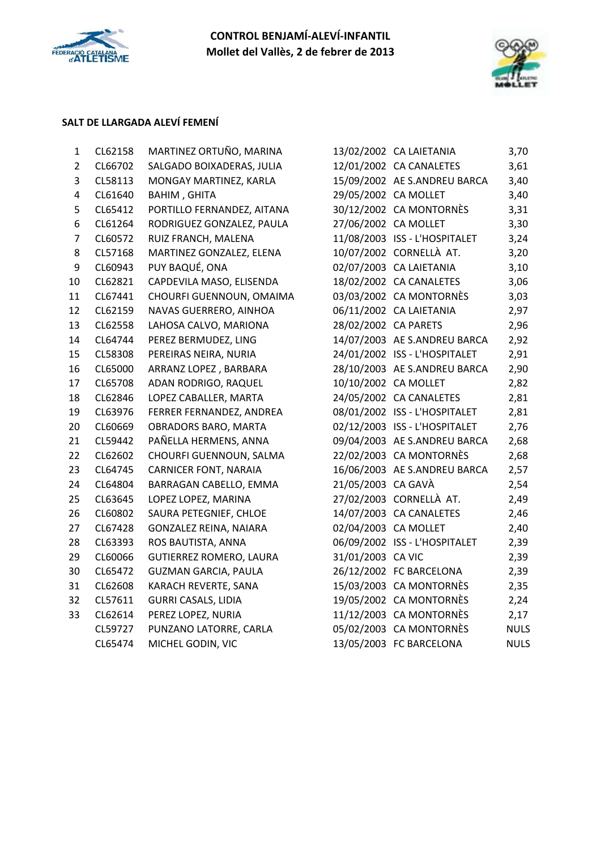



# **SALT DE LLARGADA ALEVÍ FEMENÍ**

| CL66702<br>CL58113<br>CL61640<br>CL65412<br>CL61264<br>CL60572<br>CL57168<br>CL60943<br>CL62821 | SALGADO BOIXADERAS, JULIA<br>MONGAY MARTINEZ, KARLA<br><b>BAHIM, GHITA</b><br>PORTILLO FERNANDEZ, AITANA<br>RODRIGUEZ GONZALEZ, PAULA<br>RUIZ FRANCH, MALENA | 29/05/2002 CA MOLLET<br>27/06/2002 CA MOLLET                                                                                                                                                                                                                                                                                                                                                                                                                                                                                                                                                                                                                                                                        | 12/01/2002 CA CANALETES<br>15/09/2002 AE S.ANDREU BARCA<br>30/12/2002 CA MONTORNÈS<br>11/08/2003 ISS - L'HOSPITALET | 3,61<br>3,40<br>3,40<br>3,31<br>3,30<br>3,24                                                                                                                                                                                                                                                                                                                                                                                                                                                                                                                                                                                                                                                                                                                                                                                         |
|-------------------------------------------------------------------------------------------------|--------------------------------------------------------------------------------------------------------------------------------------------------------------|---------------------------------------------------------------------------------------------------------------------------------------------------------------------------------------------------------------------------------------------------------------------------------------------------------------------------------------------------------------------------------------------------------------------------------------------------------------------------------------------------------------------------------------------------------------------------------------------------------------------------------------------------------------------------------------------------------------------|---------------------------------------------------------------------------------------------------------------------|--------------------------------------------------------------------------------------------------------------------------------------------------------------------------------------------------------------------------------------------------------------------------------------------------------------------------------------------------------------------------------------------------------------------------------------------------------------------------------------------------------------------------------------------------------------------------------------------------------------------------------------------------------------------------------------------------------------------------------------------------------------------------------------------------------------------------------------|
|                                                                                                 |                                                                                                                                                              |                                                                                                                                                                                                                                                                                                                                                                                                                                                                                                                                                                                                                                                                                                                     |                                                                                                                     |                                                                                                                                                                                                                                                                                                                                                                                                                                                                                                                                                                                                                                                                                                                                                                                                                                      |
|                                                                                                 |                                                                                                                                                              |                                                                                                                                                                                                                                                                                                                                                                                                                                                                                                                                                                                                                                                                                                                     |                                                                                                                     |                                                                                                                                                                                                                                                                                                                                                                                                                                                                                                                                                                                                                                                                                                                                                                                                                                      |
|                                                                                                 |                                                                                                                                                              |                                                                                                                                                                                                                                                                                                                                                                                                                                                                                                                                                                                                                                                                                                                     |                                                                                                                     |                                                                                                                                                                                                                                                                                                                                                                                                                                                                                                                                                                                                                                                                                                                                                                                                                                      |
|                                                                                                 |                                                                                                                                                              |                                                                                                                                                                                                                                                                                                                                                                                                                                                                                                                                                                                                                                                                                                                     |                                                                                                                     |                                                                                                                                                                                                                                                                                                                                                                                                                                                                                                                                                                                                                                                                                                                                                                                                                                      |
|                                                                                                 |                                                                                                                                                              |                                                                                                                                                                                                                                                                                                                                                                                                                                                                                                                                                                                                                                                                                                                     |                                                                                                                     |                                                                                                                                                                                                                                                                                                                                                                                                                                                                                                                                                                                                                                                                                                                                                                                                                                      |
|                                                                                                 |                                                                                                                                                              |                                                                                                                                                                                                                                                                                                                                                                                                                                                                                                                                                                                                                                                                                                                     |                                                                                                                     |                                                                                                                                                                                                                                                                                                                                                                                                                                                                                                                                                                                                                                                                                                                                                                                                                                      |
|                                                                                                 |                                                                                                                                                              |                                                                                                                                                                                                                                                                                                                                                                                                                                                                                                                                                                                                                                                                                                                     |                                                                                                                     | 3,20                                                                                                                                                                                                                                                                                                                                                                                                                                                                                                                                                                                                                                                                                                                                                                                                                                 |
|                                                                                                 |                                                                                                                                                              |                                                                                                                                                                                                                                                                                                                                                                                                                                                                                                                                                                                                                                                                                                                     |                                                                                                                     | 3,10                                                                                                                                                                                                                                                                                                                                                                                                                                                                                                                                                                                                                                                                                                                                                                                                                                 |
|                                                                                                 |                                                                                                                                                              |                                                                                                                                                                                                                                                                                                                                                                                                                                                                                                                                                                                                                                                                                                                     |                                                                                                                     | 3,06                                                                                                                                                                                                                                                                                                                                                                                                                                                                                                                                                                                                                                                                                                                                                                                                                                 |
| CL67441                                                                                         |                                                                                                                                                              |                                                                                                                                                                                                                                                                                                                                                                                                                                                                                                                                                                                                                                                                                                                     |                                                                                                                     | 3,03                                                                                                                                                                                                                                                                                                                                                                                                                                                                                                                                                                                                                                                                                                                                                                                                                                 |
| CL62159                                                                                         |                                                                                                                                                              |                                                                                                                                                                                                                                                                                                                                                                                                                                                                                                                                                                                                                                                                                                                     |                                                                                                                     | 2,97                                                                                                                                                                                                                                                                                                                                                                                                                                                                                                                                                                                                                                                                                                                                                                                                                                 |
| CL62558                                                                                         |                                                                                                                                                              |                                                                                                                                                                                                                                                                                                                                                                                                                                                                                                                                                                                                                                                                                                                     |                                                                                                                     | 2,96                                                                                                                                                                                                                                                                                                                                                                                                                                                                                                                                                                                                                                                                                                                                                                                                                                 |
| CL64744                                                                                         |                                                                                                                                                              |                                                                                                                                                                                                                                                                                                                                                                                                                                                                                                                                                                                                                                                                                                                     |                                                                                                                     | 2,92                                                                                                                                                                                                                                                                                                                                                                                                                                                                                                                                                                                                                                                                                                                                                                                                                                 |
| CL58308                                                                                         |                                                                                                                                                              |                                                                                                                                                                                                                                                                                                                                                                                                                                                                                                                                                                                                                                                                                                                     |                                                                                                                     | 2,91                                                                                                                                                                                                                                                                                                                                                                                                                                                                                                                                                                                                                                                                                                                                                                                                                                 |
| CL65000                                                                                         |                                                                                                                                                              |                                                                                                                                                                                                                                                                                                                                                                                                                                                                                                                                                                                                                                                                                                                     |                                                                                                                     | 2,90                                                                                                                                                                                                                                                                                                                                                                                                                                                                                                                                                                                                                                                                                                                                                                                                                                 |
| CL65708                                                                                         |                                                                                                                                                              |                                                                                                                                                                                                                                                                                                                                                                                                                                                                                                                                                                                                                                                                                                                     |                                                                                                                     | 2,82                                                                                                                                                                                                                                                                                                                                                                                                                                                                                                                                                                                                                                                                                                                                                                                                                                 |
| CL62846                                                                                         |                                                                                                                                                              |                                                                                                                                                                                                                                                                                                                                                                                                                                                                                                                                                                                                                                                                                                                     |                                                                                                                     | 2,81                                                                                                                                                                                                                                                                                                                                                                                                                                                                                                                                                                                                                                                                                                                                                                                                                                 |
| CL63976                                                                                         |                                                                                                                                                              |                                                                                                                                                                                                                                                                                                                                                                                                                                                                                                                                                                                                                                                                                                                     |                                                                                                                     | 2,81                                                                                                                                                                                                                                                                                                                                                                                                                                                                                                                                                                                                                                                                                                                                                                                                                                 |
| CL60669                                                                                         |                                                                                                                                                              |                                                                                                                                                                                                                                                                                                                                                                                                                                                                                                                                                                                                                                                                                                                     |                                                                                                                     | 2,76                                                                                                                                                                                                                                                                                                                                                                                                                                                                                                                                                                                                                                                                                                                                                                                                                                 |
| CL59442                                                                                         |                                                                                                                                                              |                                                                                                                                                                                                                                                                                                                                                                                                                                                                                                                                                                                                                                                                                                                     |                                                                                                                     | 2,68                                                                                                                                                                                                                                                                                                                                                                                                                                                                                                                                                                                                                                                                                                                                                                                                                                 |
| CL62602                                                                                         |                                                                                                                                                              |                                                                                                                                                                                                                                                                                                                                                                                                                                                                                                                                                                                                                                                                                                                     |                                                                                                                     | 2,68                                                                                                                                                                                                                                                                                                                                                                                                                                                                                                                                                                                                                                                                                                                                                                                                                                 |
| CL64745                                                                                         |                                                                                                                                                              |                                                                                                                                                                                                                                                                                                                                                                                                                                                                                                                                                                                                                                                                                                                     |                                                                                                                     | 2,57                                                                                                                                                                                                                                                                                                                                                                                                                                                                                                                                                                                                                                                                                                                                                                                                                                 |
| CL64804                                                                                         |                                                                                                                                                              |                                                                                                                                                                                                                                                                                                                                                                                                                                                                                                                                                                                                                                                                                                                     |                                                                                                                     | 2,54                                                                                                                                                                                                                                                                                                                                                                                                                                                                                                                                                                                                                                                                                                                                                                                                                                 |
| CL63645                                                                                         |                                                                                                                                                              |                                                                                                                                                                                                                                                                                                                                                                                                                                                                                                                                                                                                                                                                                                                     |                                                                                                                     | 2,49                                                                                                                                                                                                                                                                                                                                                                                                                                                                                                                                                                                                                                                                                                                                                                                                                                 |
| CL60802                                                                                         |                                                                                                                                                              |                                                                                                                                                                                                                                                                                                                                                                                                                                                                                                                                                                                                                                                                                                                     |                                                                                                                     | 2,46                                                                                                                                                                                                                                                                                                                                                                                                                                                                                                                                                                                                                                                                                                                                                                                                                                 |
| CL67428                                                                                         |                                                                                                                                                              |                                                                                                                                                                                                                                                                                                                                                                                                                                                                                                                                                                                                                                                                                                                     |                                                                                                                     | 2,40                                                                                                                                                                                                                                                                                                                                                                                                                                                                                                                                                                                                                                                                                                                                                                                                                                 |
| CL63393                                                                                         |                                                                                                                                                              |                                                                                                                                                                                                                                                                                                                                                                                                                                                                                                                                                                                                                                                                                                                     |                                                                                                                     | 2,39                                                                                                                                                                                                                                                                                                                                                                                                                                                                                                                                                                                                                                                                                                                                                                                                                                 |
| CL60066                                                                                         |                                                                                                                                                              |                                                                                                                                                                                                                                                                                                                                                                                                                                                                                                                                                                                                                                                                                                                     |                                                                                                                     | 2,39                                                                                                                                                                                                                                                                                                                                                                                                                                                                                                                                                                                                                                                                                                                                                                                                                                 |
| CL65472                                                                                         |                                                                                                                                                              |                                                                                                                                                                                                                                                                                                                                                                                                                                                                                                                                                                                                                                                                                                                     |                                                                                                                     | 2,39                                                                                                                                                                                                                                                                                                                                                                                                                                                                                                                                                                                                                                                                                                                                                                                                                                 |
| CL62608                                                                                         |                                                                                                                                                              |                                                                                                                                                                                                                                                                                                                                                                                                                                                                                                                                                                                                                                                                                                                     |                                                                                                                     | 2,35                                                                                                                                                                                                                                                                                                                                                                                                                                                                                                                                                                                                                                                                                                                                                                                                                                 |
| CL57611                                                                                         |                                                                                                                                                              |                                                                                                                                                                                                                                                                                                                                                                                                                                                                                                                                                                                                                                                                                                                     |                                                                                                                     | 2,24                                                                                                                                                                                                                                                                                                                                                                                                                                                                                                                                                                                                                                                                                                                                                                                                                                 |
| CL62614                                                                                         |                                                                                                                                                              |                                                                                                                                                                                                                                                                                                                                                                                                                                                                                                                                                                                                                                                                                                                     |                                                                                                                     | 2,17                                                                                                                                                                                                                                                                                                                                                                                                                                                                                                                                                                                                                                                                                                                                                                                                                                 |
| CL59727                                                                                         |                                                                                                                                                              |                                                                                                                                                                                                                                                                                                                                                                                                                                                                                                                                                                                                                                                                                                                     |                                                                                                                     | <b>NULS</b>                                                                                                                                                                                                                                                                                                                                                                                                                                                                                                                                                                                                                                                                                                                                                                                                                          |
| CL65474                                                                                         |                                                                                                                                                              |                                                                                                                                                                                                                                                                                                                                                                                                                                                                                                                                                                                                                                                                                                                     |                                                                                                                     | <b>NULS</b>                                                                                                                                                                                                                                                                                                                                                                                                                                                                                                                                                                                                                                                                                                                                                                                                                          |
|                                                                                                 |                                                                                                                                                              | PUY BAQUÉ, ONA<br>CAPDEVILA MASO, ELISENDA<br>CHOURFI GUENNOUN, OMAIMA<br>NAVAS GUERRERO, AINHOA<br>LAHOSA CALVO, MARIONA<br>PEREZ BERMUDEZ, LING<br>PEREIRAS NEIRA, NURIA<br>ARRANZ LOPEZ, BARBARA<br>ADAN RODRIGO, RAQUEL<br>LOPEZ CABALLER, MARTA<br>FERRER FERNANDEZ, ANDREA<br>OBRADORS BARO, MARTA<br>PAÑELLA HERMENS, ANNA<br>CHOURFI GUENNOUN, SALMA<br><b>CARNICER FONT, NARAIA</b><br>BARRAGAN CABELLO, EMMA<br>LOPEZ LOPEZ, MARINA<br>SAURA PETEGNIEF, CHLOE<br>GONZALEZ REINA, NAIARA<br>ROS BAUTISTA, ANNA<br><b>GUTIERREZ ROMERO, LAURA</b><br><b>GUZMAN GARCIA, PAULA</b><br>KARACH REVERTE, SANA<br><b>GURRI CASALS, LIDIA</b><br>PEREZ LOPEZ, NURIA<br>PUNZANO LATORRE, CARLA<br>MICHEL GODIN, VIC |                                                                                                                     | MARTINEZ GONZALEZ, ELENA<br>10/07/2002 CORNELLÀ AT.<br>02/07/2003 CA LAIETANIA<br>18/02/2002 CA CANALETES<br>03/03/2002 CA MONTORNÈS<br>06/11/2002 CA LAIETANIA<br>28/02/2002 CA PARETS<br>14/07/2003 AE S.ANDREU BARCA<br>24/01/2002 ISS - L'HOSPITALET<br>28/10/2003 AE S.ANDREU BARCA<br>10/10/2002 CA MOLLET<br>24/05/2002 CA CANALETES<br>08/01/2002 ISS - L'HOSPITALET<br>02/12/2003 ISS - L'HOSPITALET<br>09/04/2003 AE S.ANDREU BARCA<br>22/02/2003 CA MONTORNÈS<br>16/06/2003 AE S.ANDREU BARCA<br>21/05/2003 CA GAVÀ<br>27/02/2003 CORNELLÀ AT.<br>14/07/2003 CA CANALETES<br>02/04/2003 CA MOLLET<br>06/09/2002 ISS - L'HOSPITALET<br>31/01/2003 CA VIC<br>26/12/2002 FC BARCELONA<br>15/03/2003 CA MONTORNÈS<br>19/05/2002 CA MONTORNÈS<br>11/12/2003 CA MONTORNÈS<br>05/02/2003 CA MONTORNÈS<br>13/05/2003 FC BARCELONA |

| 13/02/2002 | <b>CA LAIETANIA</b>       | 3,70        |
|------------|---------------------------|-------------|
| 12/01/2002 | <b>CA CANALETES</b>       | 3,61        |
| 15/09/2002 | AE S.ANDREU BARCA         | 3,40        |
| 29/05/2002 | <b>CA MOLLET</b>          | 3,40        |
| 30/12/2002 | <b>CA MONTORNÈS</b>       | 3,31        |
| 27/06/2002 | <b>CA MOLLET</b>          | 3,30        |
| 11/08/2003 | <b>ISS - L'HOSPITALET</b> | 3,24        |
| 10/07/2002 | CORNELLÀ AT.              | 3,20        |
| 02/07/2003 | <b>CA LAIETANIA</b>       | 3,10        |
| 18/02/2002 | <b>CA CANALETES</b>       | 3,06        |
| 03/03/2002 | <b>CA MONTORNÈS</b>       | 3,03        |
| 06/11/2002 | <b>CA LAIETANIA</b>       | 2,97        |
| 28/02/2002 | <b>CA PARETS</b>          | 2,96        |
| 14/07/2003 | AE S.ANDREU BARCA         | 2,92        |
| 24/01/2002 | ISS - L'HOSPITALET        | 2,91        |
| 28/10/2003 | AE S.ANDREU BARCA         | 2,90        |
| 10/10/2002 | CA MOLLET                 | 2,82        |
| 24/05/2002 | <b>CA CANALETES</b>       | 2,81        |
| 08/01/2002 | <b>ISS - L'HOSPITALET</b> | 2,81        |
| 02/12/2003 | <b>ISS - L'HOSPITALET</b> | 2,76        |
| 09/04/2003 | AE S.ANDREU BARCA         | 2,68        |
| 22/02/2003 | <b>CA MONTORNÈS</b>       | 2,68        |
| 16/06/2003 | AE S.ANDREU BARCA         | 2,57        |
| 21/05/2003 | CA GAVÀ                   | 2,54        |
| 27/02/2003 | CORNELLÀ AT.              | 2,49        |
| 14/07/2003 | <b>CA CANALETES</b>       | 2,46        |
| 02/04/2003 | <b>CA MOLLET</b>          | 2,40        |
| 06/09/2002 | ISS - L'HOSPITALET        | 2,39        |
| 31/01/2003 | CA VIC                    | 2,39        |
| 26/12/2002 | FC BARCELONA              | 2,39        |
| 15/03/2003 | <b>CA MONTORNÈS</b>       | 2,35        |
| 19/05/2002 | <b>CA MONTORNÈS</b>       | 2,24        |
| 11/12/2003 | <b>CA MONTORNÈS</b>       | 2,17        |
| 05/02/2003 | <b>CA MONTORNÈS</b>       | <b>NULS</b> |
| 13/05/2003 | FC BARCELONA              | <b>NULS</b> |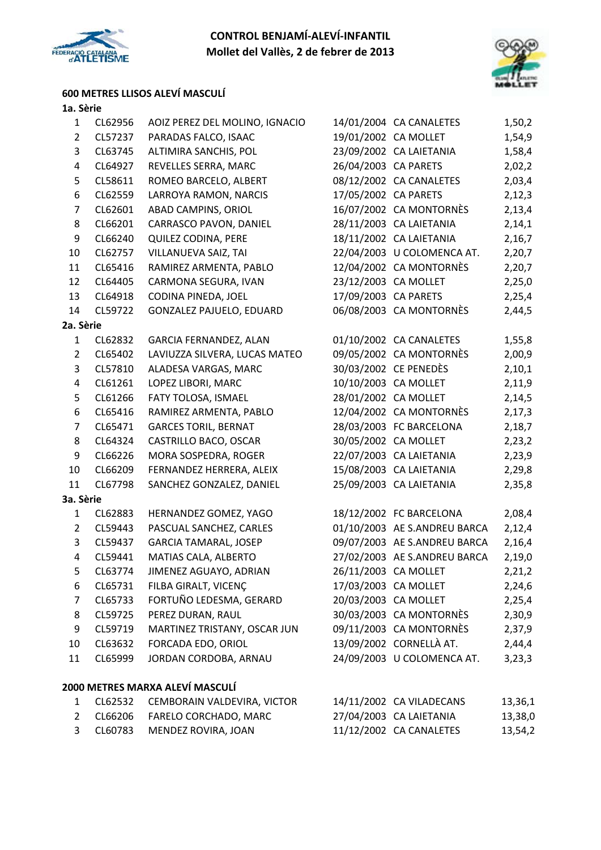



### **600 METRES LLISOS ALEVÍ MASCULÍ**

| $\mathbf{1}$   | CL62956 | AOIZ PEREZ DEL MOLINO, IGNACIO  |                      | 14/01/2004 CA CANALETES      | 1,50,2  |
|----------------|---------|---------------------------------|----------------------|------------------------------|---------|
| $\overline{2}$ | CL57237 | PARADAS FALCO, ISAAC            | 19/01/2002 CA MOLLET |                              | 1,54,9  |
| 3              | CL63745 | ALTIMIRA SANCHIS, POL           |                      | 23/09/2002 CA LAIETANIA      | 1,58,4  |
| 4              | CL64927 | REVELLES SERRA, MARC            | 26/04/2003 CA PARETS |                              | 2,02,2  |
| 5              | CL58611 | ROMEO BARCELO, ALBERT           |                      | 08/12/2002 CA CANALETES      | 2,03,4  |
| 6              | CL62559 | LARROYA RAMON, NARCIS           | 17/05/2002 CA PARETS |                              | 2,12,3  |
| $\overline{7}$ | CL62601 | ABAD CAMPINS, ORIOL             |                      | 16/07/2002 CA MONTORNÈS      | 2,13,4  |
| 8              | CL66201 | CARRASCO PAVON, DANIEL          |                      | 28/11/2003 CA LAIETANIA      | 2,14,1  |
| 9              | CL66240 | QUILEZ CODINA, PERE             |                      | 18/11/2002 CA LAIETANIA      | 2,16,7  |
| 10             | CL62757 | VILLANUEVA SAIZ, TAI            |                      | 22/04/2003 U COLOMENCA AT.   | 2,20,7  |
| 11             | CL65416 | RAMIREZ ARMENTA, PABLO          |                      | 12/04/2002 CA MONTORNÈS      | 2,20,7  |
| 12             | CL64405 | CARMONA SEGURA, IVAN            | 23/12/2003 CA MOLLET |                              | 2,25,0  |
| 13             | CL64918 | CODINA PINEDA, JOEL             | 17/09/2003 CA PARETS |                              | 2,25,4  |
| 14             | CL59722 | GONZALEZ PAJUELO, EDUARD        |                      | 06/08/2003 CA MONTORNÈS      | 2,44,5  |
| 2a. Sèrie      |         |                                 |                      |                              |         |
| $\mathbf{1}$   | CL62832 | GARCIA FERNANDEZ, ALAN          |                      | 01/10/2002 CA CANALETES      | 1,55,8  |
| $\overline{2}$ | CL65402 | LAVIUZZA SILVERA, LUCAS MATEO   |                      | 09/05/2002 CA MONTORNÈS      | 2,00,9  |
| 3              | CL57810 | ALADESA VARGAS, MARC            |                      | 30/03/2002 CE PENEDÈS        | 2,10,1  |
| 4              | CL61261 | LOPEZ LIBORI, MARC              |                      | 10/10/2003 CA MOLLET         | 2,11,9  |
| 5              | CL61266 | FATY TOLOSA, ISMAEL             |                      | 28/01/2002 CA MOLLET         | 2,14,5  |
| 6              | CL65416 | RAMIREZ ARMENTA, PABLO          |                      | 12/04/2002 CA MONTORNÈS      | 2,17,3  |
| $\overline{7}$ | CL65471 | <b>GARCES TORIL, BERNAT</b>     |                      | 28/03/2003 FC BARCELONA      | 2,18,7  |
| 8              | CL64324 | CASTRILLO BACO, OSCAR           |                      | 30/05/2002 CA MOLLET         | 2,23,2  |
| 9              | CL66226 | MORA SOSPEDRA, ROGER            |                      | 22/07/2003 CA LAIETANIA      | 2,23,9  |
| 10             | CL66209 | FERNANDEZ HERRERA, ALEIX        |                      | 15/08/2003 CA LAIETANIA      | 2,29,8  |
| 11             | CL67798 | SANCHEZ GONZALEZ, DANIEL        |                      | 25/09/2003 CA LAIETANIA      | 2,35,8  |
| 3a. Sèrie      |         |                                 |                      |                              |         |
| $\mathbf{1}$   | CL62883 | HERNANDEZ GOMEZ, YAGO           |                      | 18/12/2002 FC BARCELONA      | 2,08,4  |
| $\overline{2}$ | CL59443 | PASCUAL SANCHEZ, CARLES         |                      | 01/10/2003 AE S.ANDREU BARCA | 2,12,4  |
| 3              | CL59437 | <b>GARCIA TAMARAL, JOSEP</b>    |                      | 09/07/2003 AE S.ANDREU BARCA | 2,16,4  |
| 4              | CL59441 | MATIAS CALA, ALBERTO            |                      | 27/02/2003 AE S.ANDREU BARCA | 2,19,0  |
| 5              | CL63774 | JIMENEZ AGUAYO, ADRIAN          | 26/11/2003 CA MOLLET |                              | 2,21,2  |
| 6              | CL65731 | FILBA GIRALT, VICENÇ            |                      | 17/03/2003 CA MOLLET         | 2,24,6  |
| 7              | CL65733 | FORTUÑO LEDESMA, GERARD         |                      | 20/03/2003 CA MOLLET         | 2,25,4  |
| 8              | CL59725 | PEREZ DURAN, RAUL               |                      | 30/03/2003 CA MONTORNÈS      | 2,30,9  |
| 9              | CL59719 | MARTINEZ TRISTANY, OSCAR JUN    |                      | 09/11/2003 CA MONTORNÈS      | 2,37,9  |
| 10             | CL63632 | FORCADA EDO, ORIOL              |                      | 13/09/2002 CORNELLÀ AT.      | 2,44,4  |
| 11             | CL65999 | JORDAN CORDOBA, ARNAU           |                      | 24/09/2003 U COLOMENCA AT.   | 3,23,3  |
|                |         | 2000 METRES MARXA ALEVÍ MASCULÍ |                      |                              |         |
| 1              | CL62532 | CEMBORAIN VALDEVIRA, VICTOR     |                      | 14/11/2002 CA VILADECANS     | 13,36,1 |
| $\overline{2}$ | CL66206 | FARELO CORCHADO, MARC           |                      | 27/04/2003 CA LAIETANIA      | 13,38,0 |
| 3              | CL60783 | MENDEZ ROVIRA, JOAN             |                      | 11/12/2002 CA CANALETES      | 13,54,2 |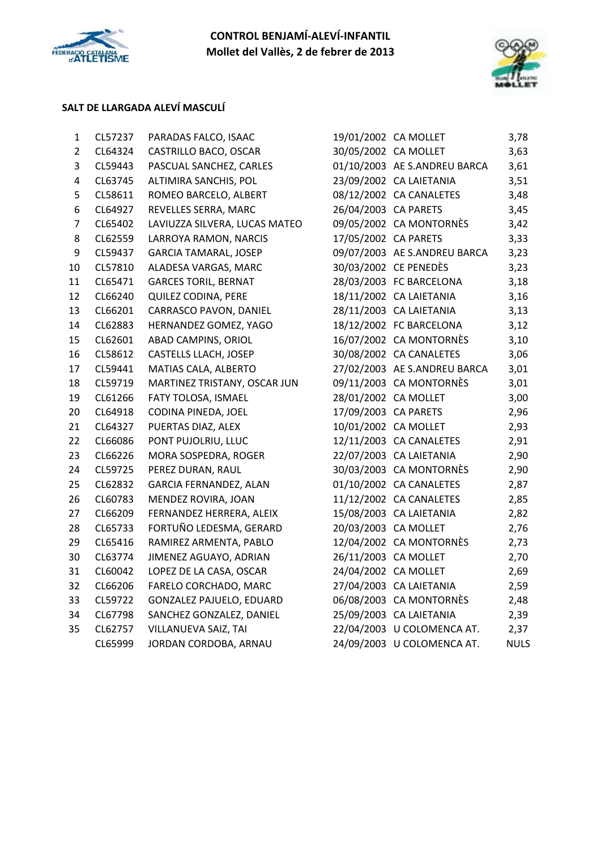



### **SALT DE LLARGADA ALEVÍ MASCULÍ**

| $\mathbf{1}$   | CL57237 | PARADAS FALCO, ISAAC          | 19/01/2002 CA MOLLET |                              | 3,78        |
|----------------|---------|-------------------------------|----------------------|------------------------------|-------------|
| $\overline{2}$ | CL64324 | CASTRILLO BACO, OSCAR         | 30/05/2002 CA MOLLET |                              | 3,63        |
| 3              | CL59443 | PASCUAL SANCHEZ, CARLES       |                      | 01/10/2003 AE S.ANDREU BARCA | 3,61        |
| 4              | CL63745 | ALTIMIRA SANCHIS, POL         |                      | 23/09/2002 CA LAIETANIA      | 3,51        |
| 5              | CL58611 | ROMEO BARCELO, ALBERT         |                      | 08/12/2002 CA CANALETES      | 3,48        |
| 6              | CL64927 | REVELLES SERRA, MARC          | 26/04/2003 CA PARETS |                              | 3,45        |
| $\overline{7}$ | CL65402 | LAVIUZZA SILVERA, LUCAS MATEO |                      | 09/05/2002 CA MONTORNÈS      | 3,42        |
| 8              | CL62559 | LARROYA RAMON, NARCIS         | 17/05/2002 CA PARETS |                              | 3,33        |
| 9              | CL59437 | <b>GARCIA TAMARAL, JOSEP</b>  |                      | 09/07/2003 AE S.ANDREU BARCA | 3,23        |
| 10             | CL57810 | ALADESA VARGAS, MARC          |                      | 30/03/2002 CE PENEDÈS        | 3,23        |
| 11             | CL65471 | <b>GARCES TORIL, BERNAT</b>   |                      | 28/03/2003 FC BARCELONA      | 3,18        |
| 12             | CL66240 | QUILEZ CODINA, PERE           |                      | 18/11/2002 CA LAIETANIA      | 3,16        |
| 13             | CL66201 | CARRASCO PAVON, DANIEL        |                      | 28/11/2003 CA LAIETANIA      | 3,13        |
| 14             | CL62883 | HERNANDEZ GOMEZ, YAGO         |                      | 18/12/2002 FC BARCELONA      | 3,12        |
| 15             | CL62601 | ABAD CAMPINS, ORIOL           |                      | 16/07/2002 CA MONTORNÈS      | 3,10        |
| 16             | CL58612 | CASTELLS LLACH, JOSEP         |                      | 30/08/2002 CA CANALETES      | 3,06        |
| 17             | CL59441 | MATIAS CALA, ALBERTO          |                      | 27/02/2003 AE S.ANDREU BARCA | 3,01        |
| 18             | CL59719 | MARTINEZ TRISTANY, OSCAR JUN  |                      | 09/11/2003 CA MONTORNÈS      | 3,01        |
| 19             | CL61266 | FATY TOLOSA, ISMAEL           | 28/01/2002 CA MOLLET |                              | 3,00        |
| 20             | CL64918 | CODINA PINEDA, JOEL           | 17/09/2003 CA PARETS |                              | 2,96        |
| 21             | CL64327 | PUERTAS DIAZ, ALEX            | 10/01/2002 CA MOLLET |                              | 2,93        |
| 22             | CL66086 | PONT PUJOLRIU, LLUC           |                      | 12/11/2003 CA CANALETES      | 2,91        |
| 23             | CL66226 | MORA SOSPEDRA, ROGER          |                      | 22/07/2003 CA LAIETANIA      | 2,90        |
| 24             | CL59725 | PEREZ DURAN, RAUL             |                      | 30/03/2003 CA MONTORNÈS      | 2,90        |
| 25             | CL62832 | <b>GARCIA FERNANDEZ, ALAN</b> |                      | 01/10/2002 CA CANALETES      | 2,87        |
| 26             | CL60783 | MENDEZ ROVIRA, JOAN           |                      | 11/12/2002 CA CANALETES      | 2,85        |
| 27             | CL66209 | FERNANDEZ HERRERA, ALEIX      |                      | 15/08/2003 CA LAIETANIA      | 2,82        |
| 28             | CL65733 | FORTUÑO LEDESMA, GERARD       | 20/03/2003 CA MOLLET |                              | 2,76        |
| 29             | CL65416 | RAMIREZ ARMENTA, PABLO        |                      | 12/04/2002 CA MONTORNÈS      | 2,73        |
| 30             | CL63774 | JIMENEZ AGUAYO, ADRIAN        | 26/11/2003 CA MOLLET |                              | 2,70        |
| 31             | CL60042 | LOPEZ DE LA CASA, OSCAR       | 24/04/2002 CA MOLLET |                              | 2,69        |
| 32             | CL66206 | FARELO CORCHADO, MARC         |                      | 27/04/2003 CA LAIETANIA      | 2,59        |
| 33             | CL59722 | GONZALEZ PAJUELO, EDUARD      |                      | 06/08/2003 CA MONTORNÈS      | 2,48        |
| 34             | CL67798 | SANCHEZ GONZALEZ, DANIEL      |                      | 25/09/2003 CA LAIETANIA      | 2,39        |
| 35             | CL62757 | VILLANUEVA SAIZ, TAI          |                      | 22/04/2003 U COLOMENCA AT.   | 2,37        |
|                | CL65999 | JORDAN CORDOBA, ARNAU         |                      | 24/09/2003 U COLOMENCA AT.   | <b>NULS</b> |
|                |         |                               |                      |                              |             |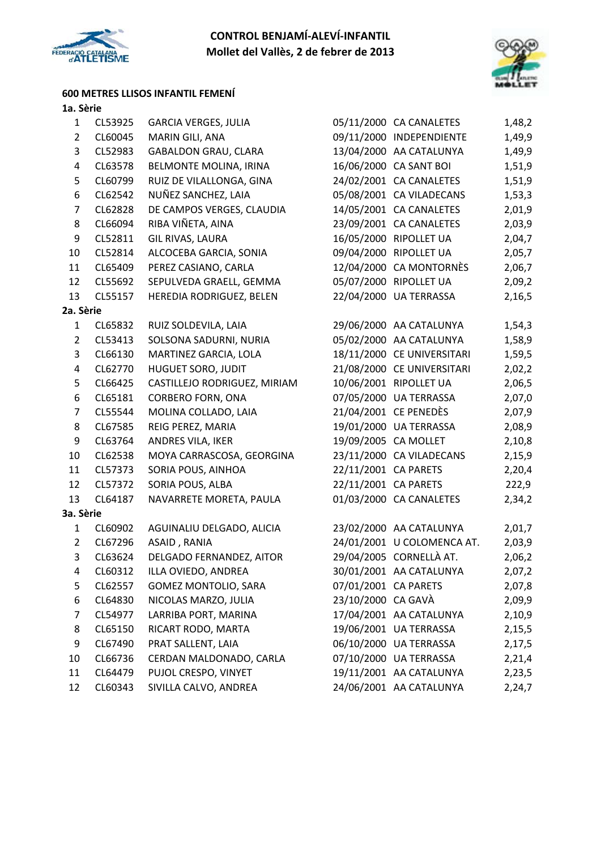



### **600 METRES LLISOS INFANTIL FEMENÍ**

| 1              | CL53925 | <b>GARCIA VERGES, JULIA</b>  |                      | 05/11/2000 CA CANALETES    | 1,48,2 |
|----------------|---------|------------------------------|----------------------|----------------------------|--------|
| $\overline{2}$ | CL60045 | MARIN GILI, ANA              |                      | 09/11/2000 INDEPENDIENTE   | 1,49,9 |
| 3              | CL52983 | <b>GABALDON GRAU, CLARA</b>  |                      | 13/04/2000 AA CATALUNYA    | 1,49,9 |
| 4              | CL63578 | BELMONTE MOLINA, IRINA       |                      | 16/06/2000 CA SANT BOI     | 1,51,9 |
| 5              | CL60799 | RUIZ DE VILALLONGA, GINA     |                      | 24/02/2001 CA CANALETES    | 1,51,9 |
| 6              | CL62542 | NUÑEZ SANCHEZ, LAIA          |                      | 05/08/2001 CA VILADECANS   | 1,53,3 |
| $\overline{7}$ | CL62828 | DE CAMPOS VERGES, CLAUDIA    |                      | 14/05/2001 CA CANALETES    | 2,01,9 |
| 8              | CL66094 | RIBA VIÑETA, AINA            |                      | 23/09/2001 CA CANALETES    | 2,03,9 |
| 9              | CL52811 | GIL RIVAS, LAURA             |                      | 16/05/2000 RIPOLLET UA     | 2,04,7 |
| 10             | CL52814 | ALCOCEBA GARCIA, SONIA       |                      | 09/04/2000 RIPOLLET UA     | 2,05,7 |
| 11             | CL65409 | PEREZ CASIANO, CARLA         |                      | 12/04/2000 CA MONTORNÈS    | 2,06,7 |
| 12             | CL55692 | SEPULVEDA GRAELL, GEMMA      |                      | 05/07/2000 RIPOLLET UA     | 2,09,2 |
| 13             | CL55157 | HEREDIA RODRIGUEZ, BELEN     |                      | 22/04/2000 UA TERRASSA     | 2,16,5 |
| 2a. Sèrie      |         |                              |                      |                            |        |
| $\mathbf{1}$   | CL65832 | RUIZ SOLDEVILA, LAIA         |                      | 29/06/2000 AA CATALUNYA    | 1,54,3 |
| $\overline{2}$ | CL53413 | SOLSONA SADURNI, NURIA       |                      | 05/02/2000 AA CATALUNYA    | 1,58,9 |
| 3              | CL66130 | MARTINEZ GARCIA, LOLA        |                      | 18/11/2000 CE UNIVERSITARI | 1,59,5 |
| 4              | CL62770 | <b>HUGUET SORO, JUDIT</b>    |                      | 21/08/2000 CE UNIVERSITARI | 2,02,2 |
| 5              | CL66425 | CASTILLEJO RODRIGUEZ, MIRIAM |                      | 10/06/2001 RIPOLLET UA     | 2,06,5 |
| 6              | CL65181 | <b>CORBERO FORN, ONA</b>     |                      | 07/05/2000 UA TERRASSA     | 2,07,0 |
| $\overline{7}$ | CL55544 | MOLINA COLLADO, LAIA         |                      | 21/04/2001 CE PENEDÈS      | 2,07,9 |
| 8              | CL67585 | REIG PEREZ, MARIA            |                      | 19/01/2000 UA TERRASSA     | 2,08,9 |
| 9              | CL63764 | ANDRES VILA, IKER            | 19/09/2005 CA MOLLET |                            | 2,10,8 |
| 10             | CL62538 | MOYA CARRASCOSA, GEORGINA    |                      | 23/11/2000 CA VILADECANS   | 2,15,9 |
| 11             | CL57373 | SORIA POUS, AINHOA           | 22/11/2001 CA PARETS |                            | 2,20,4 |
| 12             | CL57372 | SORIA POUS, ALBA             | 22/11/2001 CA PARETS |                            | 222,9  |
| 13             | CL64187 | NAVARRETE MORETA, PAULA      |                      | 01/03/2000 CA CANALETES    | 2,34,2 |
| 3a. Sèrie      |         |                              |                      |                            |        |
| 1              | CL60902 | AGUINALIU DELGADO, ALICIA    |                      | 23/02/2000 AA CATALUNYA    | 2,01,7 |
| $\overline{2}$ | CL67296 | ASAID, RANIA                 |                      | 24/01/2001 U COLOMENCA AT. | 2,03,9 |
| 3              | CL63624 | DELGADO FERNANDEZ, AITOR     |                      | 29/04/2005 CORNELLÀ AT.    | 2,06,2 |
| 4              | CL60312 | ILLA OVIEDO, ANDREA          |                      | 30/01/2001 AA CATALUNYA    | 2,07,2 |
| 5              | CL62557 | <b>GOMEZ MONTOLIO, SARA</b>  | 07/01/2001 CA PARETS |                            | 2,07,8 |
| 6              | CL64830 | NICOLAS MARZO, JULIA         | 23/10/2000 CA GAVÀ   |                            | 2,09,9 |
| 7              | CL54977 | LARRIBA PORT, MARINA         |                      | 17/04/2001 AA CATALUNYA    | 2,10,9 |
| 8              | CL65150 | RICART RODO, MARTA           |                      | 19/06/2001 UA TERRASSA     | 2,15,5 |
| 9              | CL67490 | PRAT SALLENT, LAIA           |                      | 06/10/2000 UA TERRASSA     | 2,17,5 |
| 10             | CL66736 | CERDAN MALDONADO, CARLA      |                      | 07/10/2000 UA TERRASSA     | 2,21,4 |
| 11             | CL64479 | PUJOL CRESPO, VINYET         |                      | 19/11/2001 AA CATALUNYA    | 2,23,5 |
| 12             | CL60343 | SIVILLA CALVO, ANDREA        |                      | 24/06/2001 AA CATALUNYA    | 2,24,7 |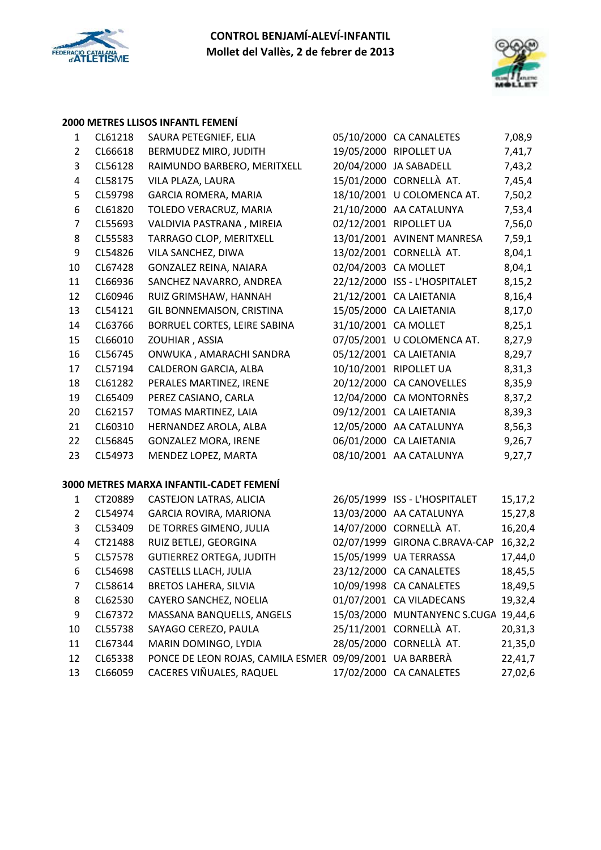



### **2000 METRES LLISOS INFANTL FEMENÍ**

| 1              | CL61218 | SAURA PETEGNIEF, ELIA                                   |                      | 05/10/2000 CA CANALETES              | 7,08,9  |
|----------------|---------|---------------------------------------------------------|----------------------|--------------------------------------|---------|
| $\overline{2}$ | CL66618 | BERMUDEZ MIRO, JUDITH                                   |                      | 19/05/2000 RIPOLLET UA               | 7,41,7  |
| 3              | CL56128 | RAIMUNDO BARBERO, MERITXELL                             |                      | 20/04/2000 JA SABADELL               | 7,43,2  |
| 4              | CL58175 | VILA PLAZA, LAURA                                       |                      | 15/01/2000 CORNELLÀ AT.              | 7,45,4  |
| 5              | CL59798 | <b>GARCIA ROMERA, MARIA</b>                             |                      | 18/10/2001 U COLOMENCA AT.           | 7,50,2  |
| 6              | CL61820 | TOLEDO VERACRUZ, MARIA                                  |                      | 21/10/2000 AA CATALUNYA              | 7,53,4  |
| $\overline{7}$ | CL55693 | VALDIVIA PASTRANA, MIREIA                               |                      | 02/12/2001 RIPOLLET UA               | 7,56,0  |
| 8              | CL55583 | TARRAGO CLOP, MERITXELL                                 |                      | 13/01/2001 AVINENT MANRESA           | 7,59,1  |
| 9              | CL54826 | VILA SANCHEZ, DIWA                                      |                      | 13/02/2001 CORNELLÀ AT.              | 8,04,1  |
| 10             | CL67428 | GONZALEZ REINA, NAIARA                                  | 02/04/2003 CA MOLLET |                                      | 8,04,1  |
| 11             | CL66936 | SANCHEZ NAVARRO, ANDREA                                 |                      | 22/12/2000 ISS - L'HOSPITALET        | 8,15,2  |
| 12             | CL60946 | RUIZ GRIMSHAW, HANNAH                                   |                      | 21/12/2001 CA LAIETANIA              | 8,16,4  |
| 13             | CL54121 | GIL BONNEMAISON, CRISTINA                               |                      | 15/05/2000 CA LAIETANIA              | 8,17,0  |
| 14             | CL63766 | BORRUEL CORTES, LEIRE SABINA                            |                      | 31/10/2001 CA MOLLET                 | 8,25,1  |
| 15             | CL66010 | ZOUHIAR, ASSIA                                          |                      | 07/05/2001 U COLOMENCA AT.           | 8,27,9  |
| 16             | CL56745 | ONWUKA, AMARACHI SANDRA                                 |                      | 05/12/2001 CA LAIETANIA              | 8,29,7  |
| 17             | CL57194 | CALDERON GARCIA, ALBA                                   |                      | 10/10/2001 RIPOLLET UA               | 8,31,3  |
| 18             | CL61282 | PERALES MARTINEZ, IRENE                                 |                      | 20/12/2000 CA CANOVELLES             | 8,35,9  |
| 19             | CL65409 | PEREZ CASIANO, CARLA                                    |                      | 12/04/2000 CA MONTORNÈS              | 8,37,2  |
| 20             | CL62157 | TOMAS MARTINEZ, LAIA                                    |                      | 09/12/2001 CA LAIETANIA              | 8,39,3  |
| 21             | CL60310 | HERNANDEZ AROLA, ALBA                                   |                      | 12/05/2000 AA CATALUNYA              | 8,56,3  |
| 22             | CL56845 | <b>GONZALEZ MORA, IRENE</b>                             |                      | 06/01/2000 CA LAIETANIA              | 9,26,7  |
| 23             | CL54973 | MENDEZ LOPEZ, MARTA                                     |                      | 08/10/2001 AA CATALUNYA              | 9,27,7  |
|                |         | 3000 METRES MARXA INFANTIL-CADET FEMENÍ                 |                      |                                      |         |
| $\mathbf{1}$   | CT20889 | CASTEJON LATRAS, ALICIA                                 |                      | 26/05/1999 ISS - L'HOSPITALET        | 15,17,2 |
| $\overline{2}$ | CL54974 | GARCIA ROVIRA, MARIONA                                  |                      | 13/03/2000 AA CATALUNYA              | 15,27,8 |
| 3              | CL53409 | DE TORRES GIMENO, JULIA                                 |                      | 14/07/2000 CORNELLÀ AT.              | 16,20,4 |
| 4              | CT21488 | RUIZ BETLEJ, GEORGINA                                   | 02/07/1999           | <b>GIRONA C.BRAVA-CAP</b>            | 16,32,2 |
| 5              | CL57578 | <b>GUTIERREZ ORTEGA, JUDITH</b>                         |                      | 15/05/1999 UA TERRASSA               | 17,44,0 |
| 6              | CL54698 | CASTELLS LLACH, JULIA                                   |                      | 23/12/2000 CA CANALETES              | 18,45,5 |
| 7              | CL58614 | <b>BRETOS LAHERA, SILVIA</b>                            |                      | 10/09/1998 CA CANALETES              | 18,49,5 |
| 8              | CL62530 | CAYERO SANCHEZ, NOELIA                                  |                      | 01/07/2001 CA VILADECANS             | 19,32,4 |
| 9              | CL67372 | MASSANA BANQUELLS, ANGELS                               |                      | 15/03/2000 MUNTANYENC S.CUGA 19,44,6 |         |
| 10             | CL55738 | SAYAGO CEREZO, PAULA                                    |                      | 25/11/2001 CORNELLÀ AT.              | 20,31,3 |
| 11             | CL67344 | MARIN DOMINGO, LYDIA                                    |                      | 28/05/2000 CORNELLÀ AT.              | 21,35,0 |
| 12             | CL65338 | PONCE DE LEON ROJAS, CAMILA ESMER 09/09/2001 UA BARBERÀ |                      |                                      | 22,41,7 |
| 13             | CL66059 | CACERES VIÑUALES, RAQUEL                                |                      | 17/02/2000 CA CANALETES              | 27,02,6 |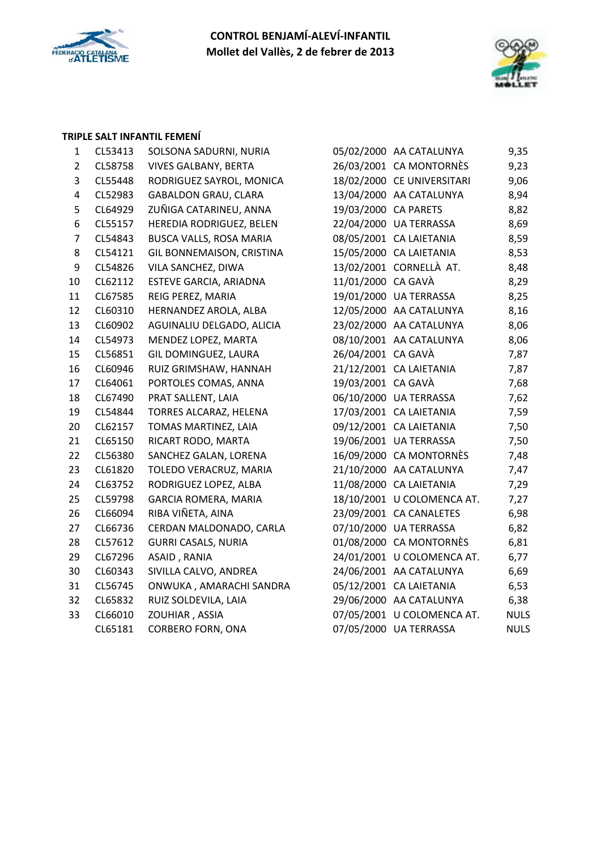



#### **TRIPLE SALT INFANTIL FEMENÍ**

| $\mathbf{1}$   | CL53413 | SOLSONA SADURNI, NURIA      |                      | 05/02/2000 AA CATALUNYA    | 9,35        |
|----------------|---------|-----------------------------|----------------------|----------------------------|-------------|
| $\overline{2}$ | CL58758 | <b>VIVES GALBANY, BERTA</b> |                      | 26/03/2001 CA MONTORNÈS    | 9,23        |
| 3              | CL55448 | RODRIGUEZ SAYROL, MONICA    |                      | 18/02/2000 CE UNIVERSITARI | 9,06        |
| 4              | CL52983 | <b>GABALDON GRAU, CLARA</b> |                      | 13/04/2000 AA CATALUNYA    | 8,94        |
| 5              | CL64929 | ZUÑIGA CATARINEU, ANNA      | 19/03/2000 CA PARETS |                            | 8,82        |
| 6              | CL55157 | HEREDIA RODRIGUEZ, BELEN    |                      | 22/04/2000 UA TERRASSA     | 8,69        |
| $\overline{7}$ | CL54843 | BUSCA VALLS, ROSA MARIA     |                      | 08/05/2001 CA LAIETANIA    | 8,59        |
| 8              | CL54121 | GIL BONNEMAISON, CRISTINA   |                      | 15/05/2000 CA LAIETANIA    | 8,53        |
| 9              | CL54826 | VILA SANCHEZ, DIWA          |                      | 13/02/2001 CORNELLÀ AT.    | 8,48        |
| 10             | CL62112 | ESTEVE GARCIA, ARIADNA      | 11/01/2000 CA GAVÀ   |                            | 8,29        |
| 11             | CL67585 | REIG PEREZ, MARIA           |                      | 19/01/2000 UA TERRASSA     | 8,25        |
| 12             | CL60310 | HERNANDEZ AROLA, ALBA       |                      | 12/05/2000 AA CATALUNYA    | 8,16        |
| 13             | CL60902 | AGUINALIU DELGADO, ALICIA   |                      | 23/02/2000 AA CATALUNYA    | 8,06        |
| 14             | CL54973 | MENDEZ LOPEZ, MARTA         |                      | 08/10/2001 AA CATALUNYA    | 8,06        |
| 15             | CL56851 | GIL DOMINGUEZ, LAURA        | 26/04/2001 CA GAVÀ   |                            | 7,87        |
| 16             | CL60946 | RUIZ GRIMSHAW, HANNAH       |                      | 21/12/2001 CA LAIETANIA    | 7,87        |
| 17             | CL64061 | PORTOLES COMAS, ANNA        | 19/03/2001 CA GAVÀ   |                            | 7,68        |
| 18             | CL67490 | PRAT SALLENT, LAIA          |                      | 06/10/2000 UA TERRASSA     | 7,62        |
| 19             | CL54844 | TORRES ALCARAZ, HELENA      |                      | 17/03/2001 CA LAIETANIA    | 7,59        |
| 20             | CL62157 | TOMAS MARTINEZ, LAIA        |                      | 09/12/2001 CA LAIETANIA    | 7,50        |
| 21             | CL65150 | RICART RODO, MARTA          |                      | 19/06/2001 UA TERRASSA     | 7,50        |
| 22             | CL56380 | SANCHEZ GALAN, LORENA       |                      | 16/09/2000 CA MONTORNÈS    | 7,48        |
| 23             | CL61820 | TOLEDO VERACRUZ, MARIA      |                      | 21/10/2000 AA CATALUNYA    | 7,47        |
| 24             | CL63752 | RODRIGUEZ LOPEZ, ALBA       |                      | 11/08/2000 CA LAIETANIA    | 7,29        |
| 25             | CL59798 | GARCIA ROMERA, MARIA        |                      | 18/10/2001 U COLOMENCA AT. | 7,27        |
| 26             | CL66094 | RIBA VIÑETA, AINA           |                      | 23/09/2001 CA CANALETES    | 6,98        |
| 27             | CL66736 | CERDAN MALDONADO, CARLA     |                      | 07/10/2000 UA TERRASSA     | 6,82        |
| 28             | CL57612 | <b>GURRI CASALS, NURIA</b>  |                      | 01/08/2000 CA MONTORNÈS    | 6,81        |
| 29             | CL67296 | ASAID, RANIA                |                      | 24/01/2001 U COLOMENCA AT. | 6,77        |
| 30             | CL60343 | SIVILLA CALVO, ANDREA       |                      | 24/06/2001 AA CATALUNYA    | 6,69        |
| 31             | CL56745 | ONWUKA, AMARACHI SANDRA     |                      | 05/12/2001 CA LAIETANIA    | 6,53        |
| 32             | CL65832 | RUIZ SOLDEVILA, LAIA        |                      | 29/06/2000 AA CATALUNYA    | 6,38        |
| 33             | CL66010 | ZOUHIAR, ASSIA              |                      | 07/05/2001 U COLOMENCA AT. | <b>NULS</b> |
|                | CL65181 | <b>CORBERO FORN, ONA</b>    |                      | 07/05/2000 UA TERRASSA     | <b>NULS</b> |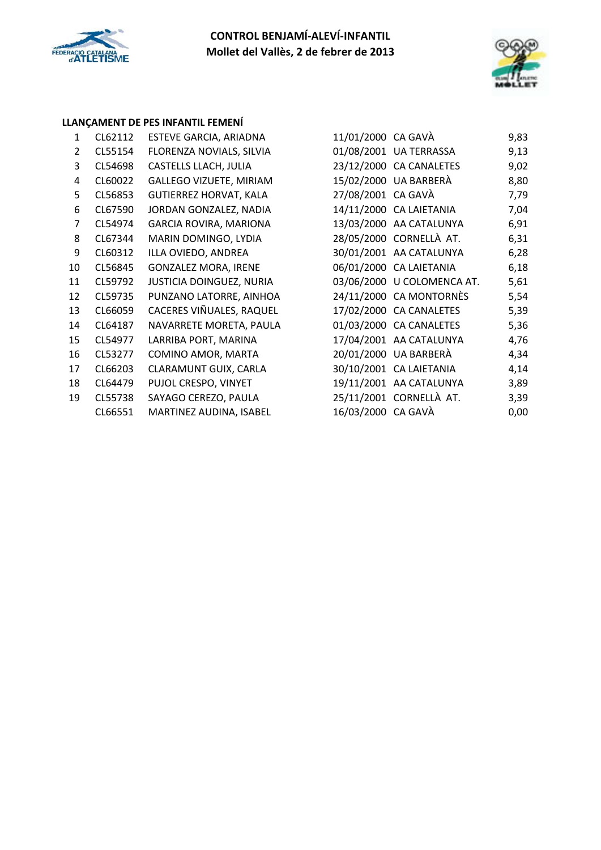



### **LLANÇAMENT DE PES INFANTIL FEMENÍ**

| 1              | CL62112 | ESTEVE GARCIA, ARIADNA          | 11/01/2000 CA GAVÀ |                            | 9,83 |
|----------------|---------|---------------------------------|--------------------|----------------------------|------|
| $\overline{2}$ | CL55154 | FLORENZA NOVIALS, SILVIA        |                    | 01/08/2001 UA TERRASSA     | 9,13 |
| 3              | CL54698 | CASTELLS LLACH, JULIA           |                    | 23/12/2000 CA CANALETES    | 9,02 |
| 4              | CL60022 | <b>GALLEGO VIZUETE, MIRIAM</b>  |                    | 15/02/2000 UA BARBERÀ      | 8,80 |
| 5              | CL56853 | GUTIERREZ HORVAT, KALA          | 27/08/2001 CA GAVÀ |                            | 7,79 |
| 6              | CL67590 | JORDAN GONZALEZ, NADIA          |                    | 14/11/2000 CA LAIETANIA    | 7,04 |
| 7              | CL54974 | GARCIA ROVIRA, MARIONA          |                    | 13/03/2000 AA CATALUNYA    | 6,91 |
| 8              | CL67344 | MARIN DOMINGO, LYDIA            |                    | 28/05/2000 CORNELLÀ AT.    | 6,31 |
| 9              | CL60312 | ILLA OVIEDO, ANDREA             |                    | 30/01/2001 AA CATALUNYA    | 6,28 |
| 10             | CL56845 | <b>GONZALEZ MORA, IRENE</b>     |                    | 06/01/2000 CA LAIETANIA    | 6,18 |
| 11             | CL59792 | <b>JUSTICIA DOINGUEZ, NURIA</b> |                    | 03/06/2000 U COLOMENCA AT. | 5,61 |
| 12             | CL59735 | PUNZANO LATORRE, AINHOA         |                    | 24/11/2000 CA MONTORNÈS    | 5,54 |
| 13             | CL66059 | CACERES VIÑUALES, RAQUEL        |                    | 17/02/2000 CA CANALETES    | 5,39 |
| 14             | CL64187 | NAVARRETE MORETA, PAULA         |                    | 01/03/2000 CA CANALETES    | 5,36 |
| 15             | CL54977 | LARRIBA PORT, MARINA            |                    | 17/04/2001 AA CATALUNYA    | 4,76 |
| 16             | CL53277 | COMINO AMOR, MARTA              |                    | 20/01/2000 UA BARBERÀ      | 4,34 |
| 17             | CL66203 | CLARAMUNT GUIX, CARLA           |                    | 30/10/2001 CA LAIETANIA    | 4,14 |
| 18             | CL64479 | PUJOL CRESPO, VINYET            |                    | 19/11/2001 AA CATALUNYA    | 3,89 |
| 19             | CL55738 | SAYAGO CEREZO, PAULA            |                    | 25/11/2001 CORNELLÀ AT.    | 3,39 |
|                | CL66551 | MARTINEZ AUDINA, ISABEL         | 16/03/2000 CA GAVÀ |                            | 0,00 |
|                |         |                                 |                    |                            |      |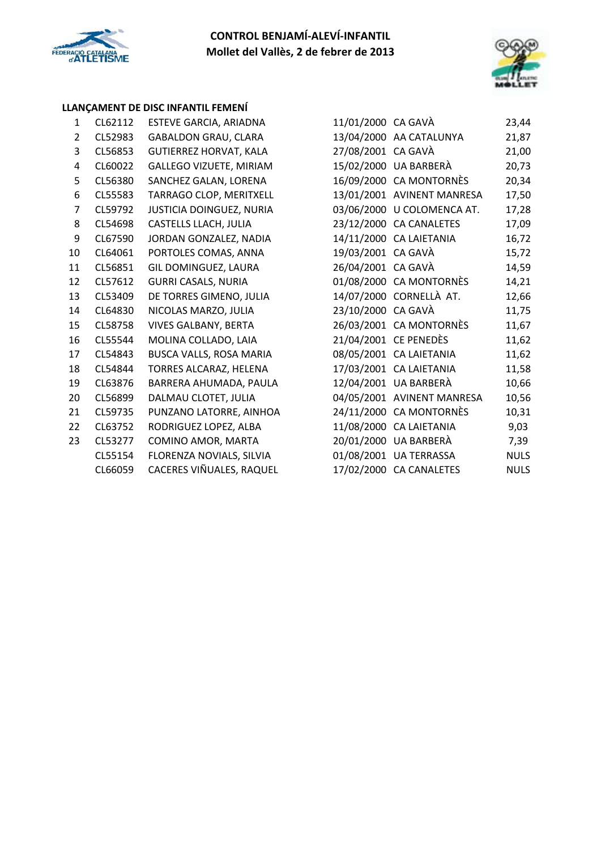



### **LLANÇAMENT DE DISC INFANTIL FEMENÍ**

| 1              | CL62112 | ESTEVE GARCIA, ARIADNA        | 11/01/2000 CA GAVÀ |                            | 23,44       |
|----------------|---------|-------------------------------|--------------------|----------------------------|-------------|
| 2              | CL52983 | <b>GABALDON GRAU, CLARA</b>   |                    | 13/04/2000 AA CATALUNYA    | 21,87       |
| 3              | CL56853 | <b>GUTIERREZ HORVAT, KALA</b> | 27/08/2001 CA GAVÀ |                            | 21,00       |
| 4              | CL60022 | GALLEGO VIZUETE, MIRIAM       |                    | 15/02/2000 UA BARBERÀ      | 20,73       |
| 5              | CL56380 | SANCHEZ GALAN, LORENA         |                    | 16/09/2000 CA MONTORNÈS    | 20,34       |
| 6              | CL55583 | TARRAGO CLOP, MERITXELL       |                    | 13/01/2001 AVINENT MANRESA | 17,50       |
| $\overline{7}$ | CL59792 | JUSTICIA DOINGUEZ, NURIA      |                    | 03/06/2000 U COLOMENCA AT. | 17,28       |
| 8              | CL54698 | CASTELLS LLACH, JULIA         |                    | 23/12/2000 CA CANALETES    | 17,09       |
| 9              | CL67590 | JORDAN GONZALEZ, NADIA        |                    | 14/11/2000 CA LAIETANIA    | 16,72       |
| 10             | CL64061 | PORTOLES COMAS, ANNA          | 19/03/2001 CA GAVÀ |                            | 15,72       |
| 11             | CL56851 | GIL DOMINGUEZ, LAURA          | 26/04/2001 CA GAVÀ |                            | 14,59       |
| 12             | CL57612 | <b>GURRI CASALS, NURIA</b>    |                    | 01/08/2000 CA MONTORNÈS    | 14,21       |
| 13             | CL53409 | DE TORRES GIMENO, JULIA       |                    | 14/07/2000 CORNELLÀ AT.    | 12,66       |
| 14             | CL64830 | NICOLAS MARZO, JULIA          | 23/10/2000 CA GAVÀ |                            | 11,75       |
| 15             | CL58758 | <b>VIVES GALBANY, BERTA</b>   |                    | 26/03/2001 CA MONTORNÈS    | 11,67       |
| 16             | CL55544 | MOLINA COLLADO, LAIA          |                    | 21/04/2001 CE PENEDÈS      | 11,62       |
| 17             | CL54843 | BUSCA VALLS, ROSA MARIA       |                    | 08/05/2001 CA LAIETANIA    | 11,62       |
| 18             | CL54844 | TORRES ALCARAZ, HELENA        |                    | 17/03/2001 CA LAIETANIA    | 11,58       |
| 19             | CL63876 | BARRERA AHUMADA, PAULA        |                    | 12/04/2001 UA BARBERÀ      | 10,66       |
| 20             | CL56899 | DALMAU CLOTET, JULIA          |                    | 04/05/2001 AVINENT MANRESA | 10,56       |
| 21             | CL59735 | PUNZANO LATORRE, AINHOA       |                    | 24/11/2000 CA MONTORNÈS    | 10,31       |
| 22             | CL63752 | RODRIGUEZ LOPEZ, ALBA         |                    | 11/08/2000 CA LAIETANIA    | 9,03        |
| 23             | CL53277 | COMINO AMOR, MARTA            |                    | 20/01/2000 UA BARBERÀ      | 7,39        |
|                | CL55154 | FLORENZA NOVIALS, SILVIA      |                    | 01/08/2001 UA TERRASSA     | <b>NULS</b> |
|                | CL66059 | CACERES VIÑUALES, RAQUEL      |                    | 17/02/2000 CA CANALETES    | <b>NULS</b> |

| CL62112 | ESTEVE GARCIA, ARIADNA         | 11/01/2000 CA GAVÀ |                            | 23,44       |
|---------|--------------------------------|--------------------|----------------------------|-------------|
| CL52983 | <b>GABALDON GRAU, CLARA</b>    |                    | 13/04/2000 AA CATALUNYA    | 21,87       |
| CL56853 | <b>GUTIERREZ HORVAT, KALA</b>  | 27/08/2001 CA GAVÀ |                            | 21,00       |
| CL60022 | <b>GALLEGO VIZUETE, MIRIAM</b> |                    | 15/02/2000 UA BARBERÀ      | 20,73       |
| CL56380 | SANCHEZ GALAN, LORENA          |                    | 16/09/2000 CA MONTORNÈS    | 20,34       |
| CL55583 | TARRAGO CLOP, MERITXELL        |                    | 13/01/2001 AVINENT MANRESA | 17,50       |
| CL59792 | JUSTICIA DOINGUEZ, NURIA       |                    | 03/06/2000 U COLOMENCA AT. | 17,28       |
| CL54698 | CASTELLS LLACH, JULIA          |                    | 23/12/2000 CA CANALETES    | 17,09       |
| CL67590 | JORDAN GONZALEZ, NADIA         |                    | 14/11/2000 CA LAIETANIA    | 16,72       |
| CL64061 | PORTOLES COMAS, ANNA           | 19/03/2001 CA GAVÀ |                            | 15,72       |
| CL56851 | GIL DOMINGUEZ, LAURA           | 26/04/2001 CA GAVÀ |                            | 14,59       |
| CL57612 | <b>GURRI CASALS, NURIA</b>     |                    | 01/08/2000 CA MONTORNÈS    | 14,21       |
| CL53409 | DE TORRES GIMENO, JULIA        |                    | 14/07/2000 CORNELLÀ AT.    | 12,66       |
| CL64830 | NICOLAS MARZO, JULIA           | 23/10/2000 CA GAVÀ |                            | 11,75       |
| CL58758 | <b>VIVES GALBANY, BERTA</b>    |                    | 26/03/2001 CA MONTORNÈS    | 11,67       |
| CL55544 | MOLINA COLLADO, LAIA           |                    | 21/04/2001 CE PENEDÈS      | 11,62       |
| CL54843 | BUSCA VALLS, ROSA MARIA        |                    | 08/05/2001 CA LAIETANIA    | 11,62       |
| CL54844 | TORRES ALCARAZ, HELENA         |                    | 17/03/2001 CA LAIETANIA    | 11,58       |
| CL63876 | BARRERA AHUMADA, PAULA         |                    | 12/04/2001 UA BARBERÀ      | 10,66       |
| CL56899 | DALMAU CLOTET, JULIA           |                    | 04/05/2001 AVINENT MANRESA | 10,56       |
| CL59735 | PUNZANO LATORRE, AINHOA        |                    | 24/11/2000 CA MONTORNÈS    | 10,31       |
| CL63752 | RODRIGUEZ LOPEZ, ALBA          |                    | 11/08/2000 CA LAIETANIA    | 9,03        |
| CL53277 | COMINO AMOR, MARTA             |                    | 20/01/2000 UA BARBERÀ      | 7,39        |
| CL55154 | FLORENZA NOVIALS, SILVIA       |                    | 01/08/2001 UA TERRASSA     | <b>NULS</b> |
| CL66059 | CACERES VIÑUALES, RAQUEL       |                    | 17/02/2000 CA CANALETES    | <b>NULS</b> |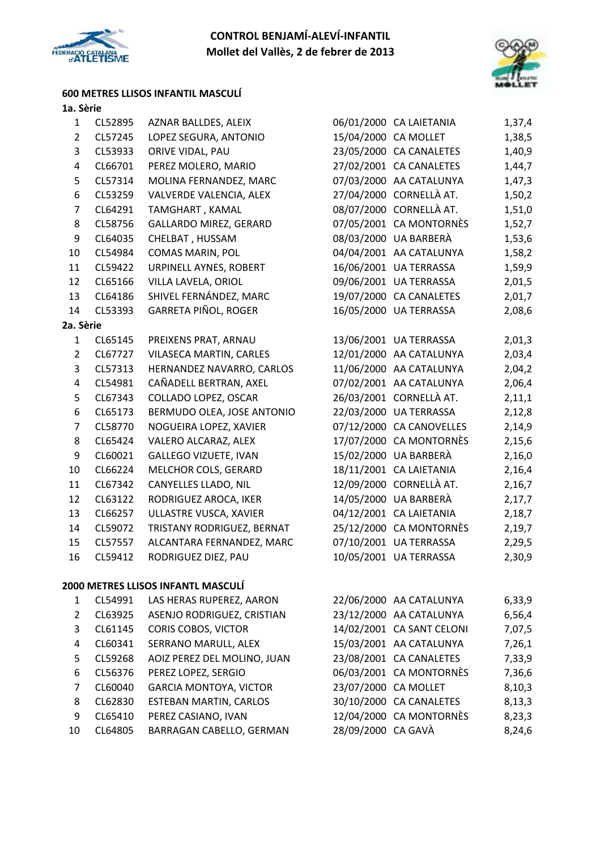



### **600 METRES LLISOS INFANTIL MASCULÍ**

| $\mathbf{1}$            | CL52895                          | AZNAR BALLDES, ALEIX               |                      | 06/01/2000 CA LAIETANIA    | 1,37,4        |
|-------------------------|----------------------------------|------------------------------------|----------------------|----------------------------|---------------|
| $\overline{2}$          | CL57245<br>LOPEZ SEGURA, ANTONIO |                                    | 15/04/2000 CA MOLLET |                            | 1,38,5        |
| 3                       | ORIVE VIDAL, PAU<br>CL53933      |                                    |                      | 23/05/2000 CA CANALETES    | 1,40,9        |
| $\overline{\mathbf{4}}$ | PEREZ MOLERO, MARIO<br>CL66701   |                                    |                      | 27/02/2001 CA CANALETES    | 1,44,7        |
| 5                       | CL57314                          | MOLINA FERNANDEZ, MARC             |                      | 07/03/2000 AA CATALUNYA    | 1,47,3        |
| 6                       | CL53259                          | VALVERDE VALENCIA, ALEX            |                      | 27/04/2000 CORNELLÀ AT.    | 1,50,2        |
| $\overline{7}$          | CL64291                          | TAMGHART, KAMAL                    |                      | 08/07/2000 CORNELLÀ AT.    | 1,51,0        |
| 8                       | CL58756                          | GALLARDO MIREZ, GERARD             |                      | 07/05/2001 CA MONTORNÈS    | 1,52,7        |
| 9                       | CL64035                          | CHELBAT, HUSSAM                    |                      | 08/03/2000 UA BARBERÀ      | 1,53,6        |
| 10                      | CL54984                          | COMAS MARIN, POL                   |                      | 04/04/2001 AA CATALUNYA    | 1,58,2        |
| 11                      | CL59422                          | URPINELL AYNES, ROBERT             |                      | 16/06/2001 UA TERRASSA     | 1,59,9        |
| 12                      | CL65166                          | VILLA LAVELA, ORIOL                |                      | 09/06/2001 UA TERRASSA     | 2,01,5        |
| 13                      | CL64186                          | SHIVEL FERNÁNDEZ, MARC             |                      | 19/07/2000 CA CANALETES    | 2,01,7        |
| 14                      | CL53393                          | GARRETA PIÑOL, ROGER               |                      | 16/05/2000 UA TERRASSA     | 2,08,6        |
| 2a. Sèrie               |                                  |                                    |                      |                            |               |
| $\mathbf{1}$            | CL65145                          | PREIXENS PRAT, ARNAU               |                      | 13/06/2001 UA TERRASSA     | 2,01,3        |
| $\overline{2}$          | CL67727                          | <b>VILASECA MARTIN, CARLES</b>     |                      | 12/01/2000 AA CATALUNYA    | 2,03,4        |
| 3                       | CL57313                          | HERNANDEZ NAVARRO, CARLOS          |                      | 11/06/2000 AA CATALUNYA    | 2,04,2        |
| $\overline{\mathbf{4}}$ | CL54981                          | CAÑADELL BERTRAN, AXEL             |                      | 07/02/2001 AA CATALUNYA    | 2,06,4        |
| 5                       | CL67343                          | COLLADO LOPEZ, OSCAR               |                      | 26/03/2001 CORNELLÀ AT.    | 2,11,1        |
| 6                       | CL65173                          | BERMUDO OLEA, JOSE ANTONIO         |                      | 22/03/2000 UA TERRASSA     | 2,12,8        |
| $\overline{7}$          | CL58770                          | NOGUEIRA LOPEZ, XAVIER             |                      | 07/12/2000 CA CANOVELLES   | 2,14,9        |
| 8                       | CL65424                          | VALERO ALCARAZ, ALEX               |                      | 17/07/2000 CA MONTORNÈS    | 2,15,6        |
| 9                       | CL60021                          | <b>GALLEGO VIZUETE, IVAN</b>       |                      | 15/02/2000 UA BARBERÀ      | 2,16,0        |
| 10                      | CL66224                          | MELCHOR COLS, GERARD               |                      | 18/11/2001 CA LAIETANIA    | 2,16,4        |
| 11                      | CL67342                          | CANYELLES LLADO, NIL               |                      | 12/09/2000 CORNELLÀ AT.    | 2,16,7        |
| 12                      | CL63122                          | RODRIGUEZ AROCA, IKER              |                      | 14/05/2000 UA BARBERÀ      | 2,17,7        |
| 13                      | CL66257                          | ULLASTRE VUSCA, XAVIER             |                      | 04/12/2001 CA LAIETANIA    | 2,18,7        |
| 14                      | CL59072                          | TRISTANY RODRIGUEZ, BERNAT         |                      | 25/12/2000 CA MONTORNÈS    | 2,19,7        |
| 15                      | CL57557                          | ALCANTARA FERNANDEZ, MARC          |                      | 07/10/2001 UA TERRASSA     | 2,29,5        |
| 16                      | CL59412                          | RODRIGUEZ DIEZ, PAU                |                      | 10/05/2001 UA TERRASSA     | 2,30,9        |
|                         |                                  | 2000 METRES LLISOS INFANTL MASCULÍ |                      |                            |               |
|                         |                                  | 1 CLEADO1 IAC HEDAC DUDEDEZ AADON  |                      | $22/06/2000$ AA CATALLINVA | <b>6</b> 22 0 |

|    | CL54991 | LAS HERAS RUPEREZ, AARON      |                      | 22/06/2000 AA CATALUNYA   | 6,33,9 |
|----|---------|-------------------------------|----------------------|---------------------------|--------|
| 2  | CL63925 | ASENJO RODRIGUEZ, CRISTIAN    |                      | 23/12/2000 AA CATALUNYA   | 6,56,4 |
| 3  | CL61145 | <b>CORIS COBOS, VICTOR</b>    |                      | 14/02/2001 CA SANT CELONI | 7,07,5 |
| 4  | CL60341 | SERRANO MARULL, ALEX          |                      | 15/03/2001 AA CATALUNYA   | 7,26,1 |
| 5. | CL59268 | AOIZ PEREZ DEL MOLINO, JUAN   |                      | 23/08/2001 CA CANALETES   | 7,33,9 |
| 6  | CL56376 | PEREZ LOPEZ, SERGIO           |                      | 06/03/2001 CA MONTORNÈS   | 7,36,6 |
| 7  | CL60040 | <b>GARCIA MONTOYA, VICTOR</b> | 23/07/2000 CA MOLLET |                           | 8,10,3 |
| 8  | CL62830 | <b>ESTEBAN MARTIN, CARLOS</b> |                      | 30/10/2000 CA CANALETES   | 8,13,3 |
| 9  | CL65410 | PEREZ CASIANO, IVAN           |                      | 12/04/2000 CA MONTORNÈS   | 8,23,3 |
| 10 | CL64805 | BARRAGAN CABELLO, GERMAN      | 28/09/2000 CA GAVÀ   |                           | 8,24,6 |
|    |         |                               |                      |                           |        |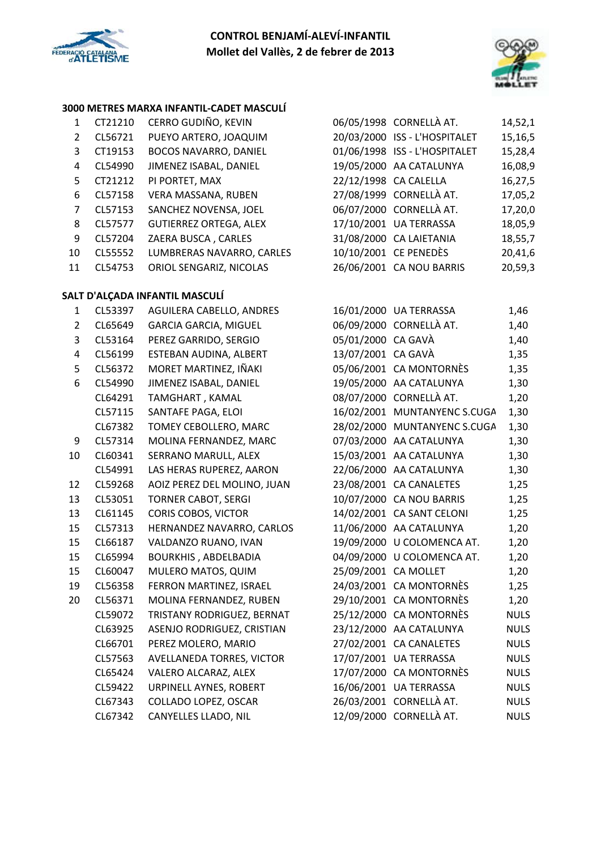



### **3000 METRES MARXA INFANTIL‐CADET MASCULÍ**

| 1                       | CT21210                           | CERRO GUDIÑO, KEVIN            |                      | 06/05/1998 CORNELLÀ AT.       | 14,52,1     |
|-------------------------|-----------------------------------|--------------------------------|----------------------|-------------------------------|-------------|
| $\overline{2}$          | PUEYO ARTERO, JOAQUIM<br>CL56721  |                                |                      | 20/03/2000 ISS - L'HOSPITALET | 15,16,5     |
| 3                       | CT19153                           | BOCOS NAVARRO, DANIEL          |                      | 01/06/1998 ISS - L'HOSPITALET | 15,28,4     |
| 4                       | CL54990<br>JIMENEZ ISABAL, DANIEL |                                |                      | 19/05/2000 AA CATALUNYA       | 16,08,9     |
| 5                       | CT21212<br>PI PORTET, MAX         |                                |                      | 22/12/1998 CA CALELLA         | 16,27,5     |
| 6                       | CL57158                           | VERA MASSANA, RUBEN            |                      | 27/08/1999 CORNELLÀ AT.       | 17,05,2     |
| $\overline{7}$          | CL57153                           | SANCHEZ NOVENSA, JOEL          |                      | 06/07/2000 CORNELLÀ AT.       | 17,20,0     |
| 8                       | CL57577                           | <b>GUTIERREZ ORTEGA, ALEX</b>  |                      | 17/10/2001 UA TERRASSA        | 18,05,9     |
| 9                       | CL57204                           | ZAERA BUSCA, CARLES            |                      | 31/08/2000 CA LAIETANIA       | 18,55,7     |
| 10                      | CL55552                           | LUMBRERAS NAVARRO, CARLES      |                      | 10/10/2001 CE PENEDÈS         | 20,41,6     |
| 11                      | CL54753                           | ORIOL SENGARIZ, NICOLAS        |                      | 26/06/2001 CA NOU BARRIS      | 20,59,3     |
|                         |                                   | SALT D'ALÇADA INFANTIL MASCULÍ |                      |                               |             |
| $\mathbf{1}$            | CL53397                           | AGUILERA CABELLO, ANDRES       |                      | 16/01/2000 UA TERRASSA        | 1,46        |
| $\overline{2}$          | CL65649                           | <b>GARCIA GARCIA, MIGUEL</b>   |                      | 06/09/2000 CORNELLÀ AT.       | 1,40        |
| 3                       | CL53164                           | PEREZ GARRIDO, SERGIO          | 05/01/2000 CA GAVÀ   |                               | 1,40        |
| $\overline{\mathbf{4}}$ | CL56199                           | ESTEBAN AUDINA, ALBERT         | 13/07/2001 CA GAVÀ   |                               | 1,35        |
| 5                       | CL56372                           | MORET MARTINEZ, IÑAKI          |                      | 05/06/2001 CA MONTORNÈS       | 1,35        |
| 6                       | CL54990                           | JIMENEZ ISABAL, DANIEL         |                      | 19/05/2000 AA CATALUNYA       | 1,30        |
|                         | CL64291                           | TAMGHART, KAMAL                |                      | 08/07/2000 CORNELLÀ AT.       | 1,20        |
|                         | CL57115                           | SANTAFE PAGA, ELOI             |                      | 16/02/2001 MUNTANYENC S.CUGA  | 1,30        |
|                         | CL67382                           | TOMEY CEBOLLERO, MARC          |                      | 28/02/2000 MUNTANYENC S.CUGA  | 1,30        |
| 9                       | CL57314                           | MOLINA FERNANDEZ, MARC         |                      | 07/03/2000 AA CATALUNYA       | 1,30        |
| 10                      | CL60341                           | SERRANO MARULL, ALEX           |                      | 15/03/2001 AA CATALUNYA       | 1,30        |
|                         | CL54991                           | LAS HERAS RUPEREZ, AARON       |                      | 22/06/2000 AA CATALUNYA       | 1,30        |
| 12                      | CL59268                           | AOIZ PEREZ DEL MOLINO, JUAN    |                      | 23/08/2001 CA CANALETES       | 1,25        |
| 13                      | CL53051                           | <b>TORNER CABOT, SERGI</b>     |                      | 10/07/2000 CA NOU BARRIS      | 1,25        |
| 13                      | CL61145                           | CORIS COBOS, VICTOR            |                      | 14/02/2001 CA SANT CELONI     | 1,25        |
| 15                      | CL57313                           | HERNANDEZ NAVARRO, CARLOS      |                      | 11/06/2000 AA CATALUNYA       | 1,20        |
| 15                      | CL66187                           | VALDANZO RUANO, IVAN           |                      | 19/09/2000 U COLOMENCA AT.    | 1,20        |
| 15                      | CL65994                           | <b>BOURKHIS, ABDELBADIA</b>    |                      | 04/09/2000 U COLOMENCA AT.    | 1,20        |
| 15                      | CL60047                           | MULERO MATOS, QUIM             | 25/09/2001 CA MOLLET |                               | 1,20        |
| 19                      | CL56358                           | FERRON MARTINEZ, ISRAEL        |                      | 24/03/2001 CA MONTORNÈS       | 1,25        |
| 20                      | CL56371                           | MOLINA FERNANDEZ, RUBEN        |                      | 29/10/2001 CA MONTORNÈS       | 1,20        |
|                         | CL59072                           | TRISTANY RODRIGUEZ, BERNAT     |                      | 25/12/2000 CA MONTORNÈS       | <b>NULS</b> |
|                         | CL63925                           | ASENJO RODRIGUEZ, CRISTIAN     |                      | 23/12/2000 AA CATALUNYA       | <b>NULS</b> |
|                         | CL66701                           | PEREZ MOLERO, MARIO            |                      | 27/02/2001 CA CANALETES       | <b>NULS</b> |
|                         | CL57563                           | AVELLANEDA TORRES, VICTOR      |                      | 17/07/2001 UA TERRASSA        | <b>NULS</b> |
|                         | CL65424                           | VALERO ALCARAZ, ALEX           |                      | 17/07/2000 CA MONTORNÈS       | <b>NULS</b> |
|                         | CL59422                           | URPINELL AYNES, ROBERT         |                      | 16/06/2001 UA TERRASSA        | <b>NULS</b> |
|                         | CL67343                           | COLLADO LOPEZ, OSCAR           |                      | 26/03/2001 CORNELLÀ AT.       | <b>NULS</b> |
|                         | CL67342                           | CANYELLES LLADO, NIL           |                      | 12/09/2000 CORNELLÀ AT.       | <b>NULS</b> |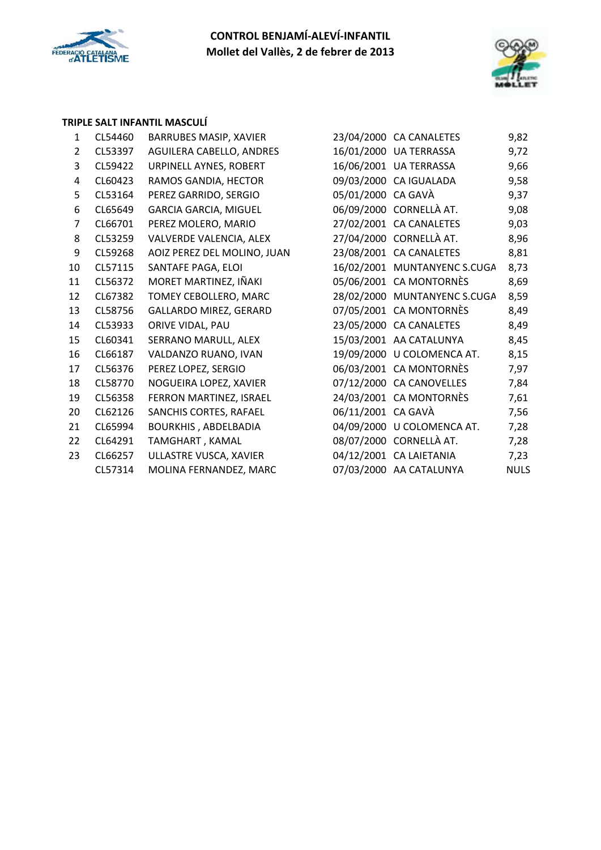



### **TRIPLE SALT INFANTIL MASCULÍ**

| 1              | CL54460 | BARRUBES MASIP, XAVIER        |                    | 23/04/2000 CA CANALETES      | 9,82 |
|----------------|---------|-------------------------------|--------------------|------------------------------|------|
| $\overline{2}$ | CL53397 | AGUILERA CABELLO, ANDRES      |                    | 16/01/2000 UA TERRASSA       | 9,72 |
| 3              | CL59422 | URPINELL AYNES, ROBERT        |                    | 16/06/2001 UA TERRASSA       | 9,66 |
| 4              | CL60423 | RAMOS GANDIA, HECTOR          |                    | 09/03/2000 CA IGUALADA       | 9,58 |
| 5              | CL53164 | PEREZ GARRIDO, SERGIO         | 05/01/2000 CA GAVÀ |                              | 9,37 |
| 6              | CL65649 | <b>GARCIA GARCIA, MIGUEL</b>  |                    | 06/09/2000 CORNELLÀ AT.      | 9,08 |
| 7              | CL66701 | PEREZ MOLERO, MARIO           |                    | 27/02/2001 CA CANALETES      | 9,03 |
| 8              | CL53259 | VALVERDE VALENCIA, ALEX       |                    | 27/04/2000 CORNELLÀ AT.      | 8,96 |
| 9              | CL59268 | AOIZ PEREZ DEL MOLINO, JUAN   |                    | 23/08/2001 CA CANALETES      | 8,81 |
| 10             | CL57115 | SANTAFE PAGA, ELOI            |                    | 16/02/2001 MUNTANYENC S.CUGA | 8,73 |
| 11             | CL56372 | MORET MARTINEZ, IÑAKI         |                    | 05/06/2001 CA MONTORNÈS      | 8,69 |
| 12             | CL67382 | TOMEY CEBOLLERO, MARC         |                    | 28/02/2000 MUNTANYENC S.CUGA | 8,59 |
| 13             | CL58756 | <b>GALLARDO MIREZ, GERARD</b> |                    | 07/05/2001 CA MONTORNÈS      | 8,49 |
| 14             | CL53933 | ORIVE VIDAL, PAU              |                    | 23/05/2000 CA CANALETES      | 8,49 |
| 15             | CL60341 | SERRANO MARULL, ALEX          |                    | 15/03/2001 AA CATALUNYA      | 8,45 |
| 16             | CL66187 | VALDANZO RUANO, IVAN          |                    | 19/09/2000 U COLOMENCA AT.   | 8,15 |
| 17             | CL56376 | PEREZ LOPEZ, SERGIO           |                    | 06/03/2001 CA MONTORNÈS      | 7,97 |
| 18             | CL58770 | NOGUEIRA LOPEZ, XAVIER        |                    | 07/12/2000 CA CANOVELLES     | 7,84 |
| 19             | CL56358 | FERRON MARTINEZ, ISRAEL       |                    | 24/03/2001 CA MONTORNÈS      | 7,61 |
| 20             | CL62126 | SANCHIS CORTES, RAFAEL        | 06/11/2001 CA GAVÀ |                              | 7,56 |
| 21             | CL65994 | <b>BOURKHIS, ABDELBADIA</b>   |                    | 04/09/2000 U COLOMENCA AT.   | 7,28 |
| 22             | CL64291 | TAMGHART, KAMAL               |                    | 08/07/2000 CORNELLÀ AT.      | 7,28 |
| 23             | CL66257 | ULLASTRE VUSCA, XAVIER        |                    | 04/12/2001 CA LAIETANIA      | 7,23 |
|                | CL57314 | MOLINA FERNANDEZ, MARC        |                    | 07/03/2000 AA CATALUNYA      | NUL: |

| 23/04/2000 | <b>CA CANALETES</b>      | 9,82 |
|------------|--------------------------|------|
| 16/01/2000 | <b>UA TERRASSA</b>       | 9,72 |
| 16/06/2001 | <b>UA TERRASSA</b>       | 9,66 |
| 09/03/2000 | CA IGUALADA              | 9,58 |
| 05/01/2000 | CA GAVÀ                  | 9,37 |
| 06/09/2000 | CORNELLÀ AT.             | 9,08 |
| 27/02/2001 | <b>CA CANALETES</b>      | 9,03 |
| 27/04/2000 | CORNELLÀ AT.             | 8,96 |
| 23/08/2001 | <b>CA CANALETES</b>      | 8,81 |
| 16/02/2001 | <b>MUNTANYENC S.CUGA</b> | 8,73 |
| 05/06/2001 | <b>CA MONTORNÈS</b>      | 8,69 |
| 28/02/2000 | <b>MUNTANYENC S.CUGA</b> | 8,59 |
| 07/05/2001 | <b>CA MONTORNÈS</b>      | 8,49 |
| 23/05/2000 | <b>CA CANALETES</b>      | 8,49 |
| 15/03/2001 | AA CATALUNYA             | 8,45 |
| 19/09/2000 | U COLOMENCA AT.          | 8,15 |
| 06/03/2001 | <b>CA MONTORNÈS</b>      | 7,97 |
| 07/12/2000 | <b>CA CANOVELLES</b>     | 7,84 |
| 24/03/2001 | CA MONTORNÈS             | 7,61 |
| 06/11/2001 | CA GAVÀ                  | 7,56 |
| 04/09/2000 | U COLOMENCA AT.          | 7,28 |
| 08/07/2000 | CORNELLÀ AT.             | 7,28 |
| 04/12/2001 | <b>CA LAIETANIA</b>      | 7,23 |
| 07/03/2000 | AA CATALUNYA             | NULS |